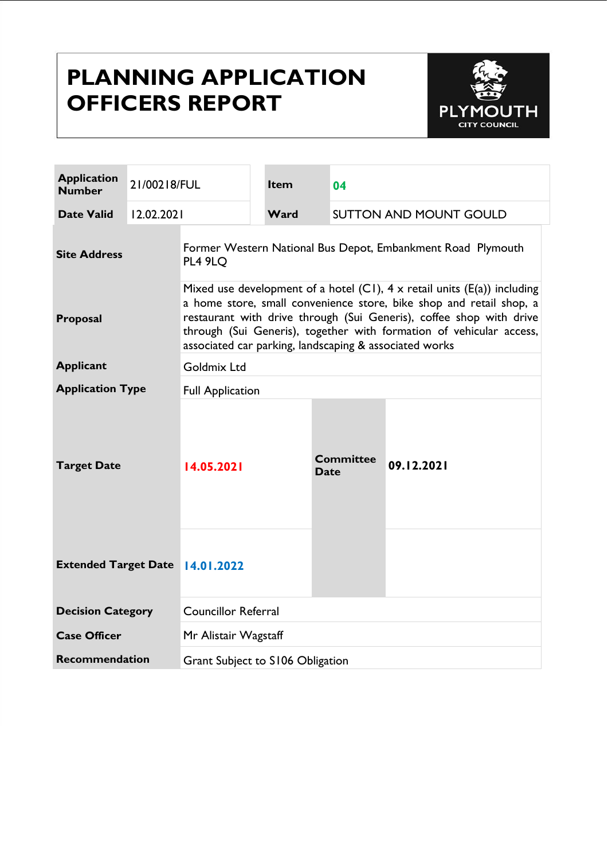# **PLANNING APPLICATION OFFICERS REPORT**



| <b>Application</b><br><b>Number</b> | 21/00218/FUL |                                                                                                                                                                                                                                                                                                                                                                | <b>Item</b> | 04                            |            |  |
|-------------------------------------|--------------|----------------------------------------------------------------------------------------------------------------------------------------------------------------------------------------------------------------------------------------------------------------------------------------------------------------------------------------------------------------|-------------|-------------------------------|------------|--|
| <b>Date Valid</b>                   | 12.02.2021   |                                                                                                                                                                                                                                                                                                                                                                | Ward        | <b>SUTTON AND MOUNT GOULD</b> |            |  |
| <b>Site Address</b>                 |              | Former Western National Bus Depot, Embankment Road Plymouth<br><b>PL4 9LO</b>                                                                                                                                                                                                                                                                                  |             |                               |            |  |
| Proposal                            |              | Mixed use development of a hotel (C1), $4 \times$ retail units (E(a)) including<br>a home store, small convenience store, bike shop and retail shop, a<br>restaurant with drive through (Sui Generis), coffee shop with drive<br>through (Sui Generis), together with formation of vehicular access,<br>associated car parking, landscaping & associated works |             |                               |            |  |
| <b>Applicant</b>                    |              | Goldmix Ltd                                                                                                                                                                                                                                                                                                                                                    |             |                               |            |  |
| <b>Application Type</b>             |              | <b>Full Application</b>                                                                                                                                                                                                                                                                                                                                        |             |                               |            |  |
| <b>Target Date</b>                  |              | 14.05.2021                                                                                                                                                                                                                                                                                                                                                     |             | <b>Committee</b><br>Date      | 09.12.2021 |  |
| <b>Extended Target Date</b>         |              | 14.01.2022                                                                                                                                                                                                                                                                                                                                                     |             |                               |            |  |
| <b>Decision Category</b>            |              | <b>Councillor Referral</b>                                                                                                                                                                                                                                                                                                                                     |             |                               |            |  |
| <b>Case Officer</b>                 |              | Mr Alistair Wagstaff                                                                                                                                                                                                                                                                                                                                           |             |                               |            |  |
| <b>Recommendation</b>               |              | Grant Subject to S106 Obligation                                                                                                                                                                                                                                                                                                                               |             |                               |            |  |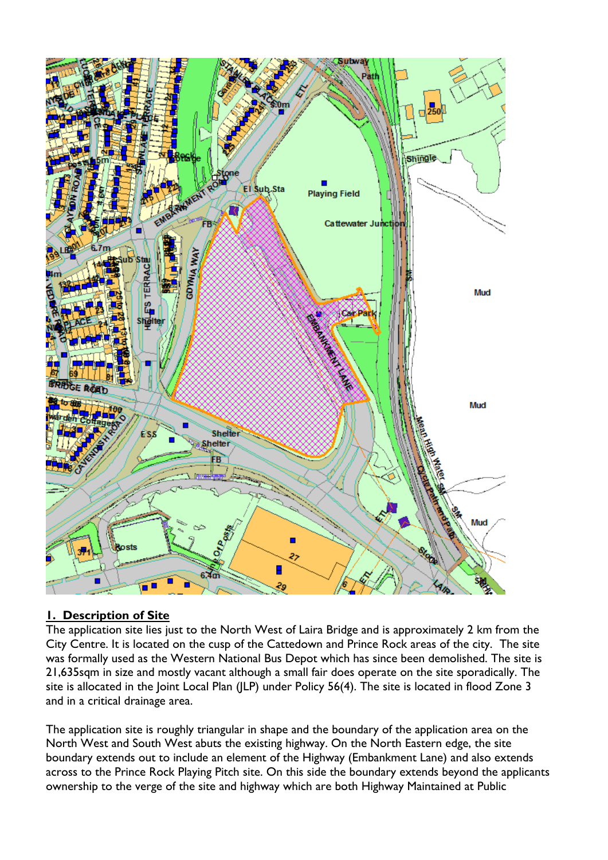

# **1. Description of Site**

The application site lies just to the North West of Laira Bridge and is approximately 2 km from the City Centre. It is located on the cusp of the Cattedown and Prince Rock areas of the city. The site was formally used as the Western National Bus Depot which has since been demolished. The site is 21,635sqm in size and mostly vacant although a small fair does operate on the site sporadically. The site is allocated in the Joint Local Plan (JLP) under Policy 56(4). The site is located in flood Zone 3 and in a critical drainage area.

The application site is roughly triangular in shape and the boundary of the application area on the North West and South West abuts the existing highway. On the North Eastern edge, the site boundary extends out to include an element of the Highway (Embankment Lane) and also extends across to the Prince Rock Playing Pitch site. On this side the boundary extends beyond the applicants ownership to the verge of the site and highway which are both Highway Maintained at Public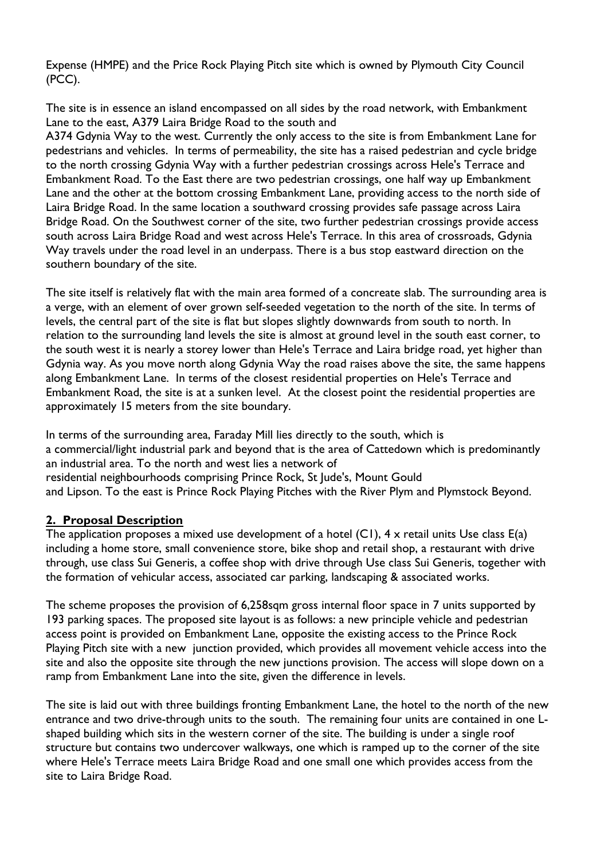Expense (HMPE) and the Price Rock Playing Pitch site which is owned by Plymouth City Council (PCC).

The site is in essence an island encompassed on all sides by the road network, with Embankment Lane to the east, A379 Laira Bridge Road to the south and

A374 Gdynia Way to the west. Currently the only access to the site is from Embankment Lane for pedestrians and vehicles. In terms of permeability, the site has a raised pedestrian and cycle bridge to the north crossing Gdynia Way with a further pedestrian crossings across Hele's Terrace and Embankment Road. To the East there are two pedestrian crossings, one half way up Embankment Lane and the other at the bottom crossing Embankment Lane, providing access to the north side of Laira Bridge Road. In the same location a southward crossing provides safe passage across Laira Bridge Road. On the Southwest corner of the site, two further pedestrian crossings provide access south across Laira Bridge Road and west across Hele's Terrace. In this area of crossroads, Gdynia Way travels under the road level in an underpass. There is a bus stop eastward direction on the southern boundary of the site.

The site itself is relatively flat with the main area formed of a concreate slab. The surrounding area is a verge, with an element of over grown self-seeded vegetation to the north of the site. In terms of levels, the central part of the site is flat but slopes slightly downwards from south to north. In relation to the surrounding land levels the site is almost at ground level in the south east corner, to the south west it is nearly a storey lower than Hele's Terrace and Laira bridge road, yet higher than Gdynia way. As you move north along Gdynia Way the road raises above the site, the same happens along Embankment Lane. In terms of the closest residential properties on Hele's Terrace and Embankment Road, the site is at a sunken level. At the closest point the residential properties are approximately 15 meters from the site boundary.

In terms of the surrounding area, Faraday Mill lies directly to the south, which is a commercial/light industrial park and beyond that is the area of Cattedown which is predominantly an industrial area. To the north and west lies a network of residential neighbourhoods comprising Prince Rock, St Jude's, Mount Gould and Lipson. To the east is Prince Rock Playing Pitches with the River Plym and Plymstock Beyond.

### **2. Proposal Description**

The application proposes a mixed use development of a hotel  $(C1)$ ,  $4 \times$  retail units Use class  $E(a)$ including a home store, small convenience store, bike shop and retail shop, a restaurant with drive through, use class Sui Generis, a coffee shop with drive through Use class Sui Generis, together with the formation of vehicular access, associated car parking, landscaping & associated works.

The scheme proposes the provision of 6,258sqm gross internal floor space in 7 units supported by 193 parking spaces. The proposed site layout is as follows: a new principle vehicle and pedestrian access point is provided on Embankment Lane, opposite the existing access to the Prince Rock Playing Pitch site with a new junction provided, which provides all movement vehicle access into the site and also the opposite site through the new junctions provision. The access will slope down on a ramp from Embankment Lane into the site, given the difference in levels.

The site is laid out with three buildings fronting Embankment Lane, the hotel to the north of the new entrance and two drive-through units to the south. The remaining four units are contained in one Lshaped building which sits in the western corner of the site. The building is under a single roof structure but contains two undercover walkways, one which is ramped up to the corner of the site where Hele's Terrace meets Laira Bridge Road and one small one which provides access from the site to Laira Bridge Road.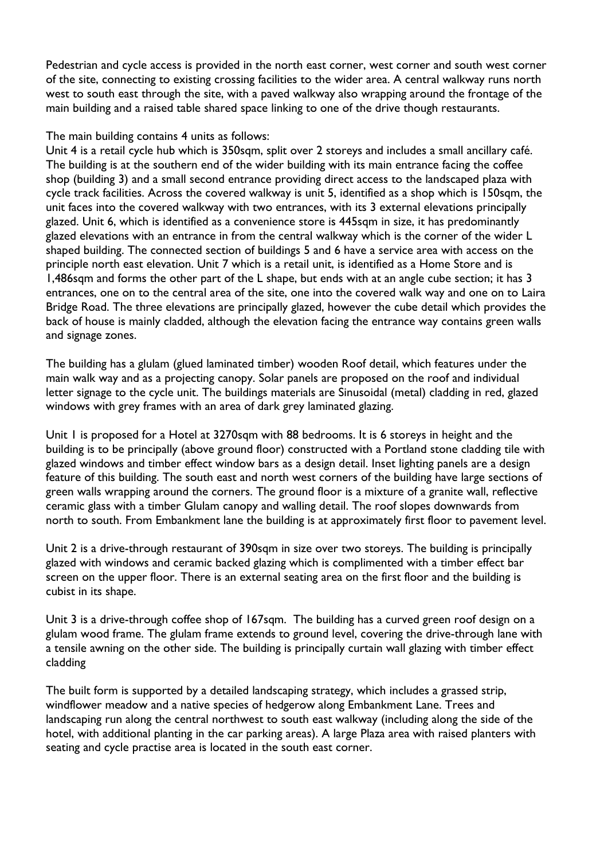Pedestrian and cycle access is provided in the north east corner, west corner and south west corner of the site, connecting to existing crossing facilities to the wider area. A central walkway runs north west to south east through the site, with a paved walkway also wrapping around the frontage of the main building and a raised table shared space linking to one of the drive though restaurants.

#### The main building contains 4 units as follows:

Unit 4 is a retail cycle hub which is 350sqm, split over 2 storeys and includes a small ancillary café. The building is at the southern end of the wider building with its main entrance facing the coffee shop (building 3) and a small second entrance providing direct access to the landscaped plaza with cycle track facilities. Across the covered walkway is unit 5, identified as a shop which is 150sqm, the unit faces into the covered walkway with two entrances, with its 3 external elevations principally glazed. Unit 6, which is identified as a convenience store is 445sqm in size, it has predominantly glazed elevations with an entrance in from the central walkway which is the corner of the wider L shaped building. The connected section of buildings 5 and 6 have a service area with access on the principle north east elevation. Unit 7 which is a retail unit, is identified as a Home Store and is 1,486sqm and forms the other part of the L shape, but ends with at an angle cube section; it has 3 entrances, one on to the central area of the site, one into the covered walk way and one on to Laira Bridge Road. The three elevations are principally glazed, however the cube detail which provides the back of house is mainly cladded, although the elevation facing the entrance way contains green walls and signage zones.

The building has a glulam (glued laminated timber) wooden Roof detail, which features under the main walk way and as a projecting canopy. Solar panels are proposed on the roof and individual letter signage to the cycle unit. The buildings materials are Sinusoidal (metal) cladding in red, glazed windows with grey frames with an area of dark grey laminated glazing.

Unit 1 is proposed for a Hotel at 3270sqm with 88 bedrooms. It is 6 storeys in height and the building is to be principally (above ground floor) constructed with a Portland stone cladding tile with glazed windows and timber effect window bars as a design detail. Inset lighting panels are a design feature of this building. The south east and north west corners of the building have large sections of green walls wrapping around the corners. The ground floor is a mixture of a granite wall, reflective ceramic glass with a timber Glulam canopy and walling detail. The roof slopes downwards from north to south. From Embankment lane the building is at approximately first floor to pavement level.

Unit 2 is a drive-through restaurant of 390sqm in size over two storeys. The building is principally glazed with windows and ceramic backed glazing which is complimented with a timber effect bar screen on the upper floor. There is an external seating area on the first floor and the building is cubist in its shape.

Unit 3 is a drive-through coffee shop of 167sqm. The building has a curved green roof design on a glulam wood frame. The glulam frame extends to ground level, covering the drive-through lane with a tensile awning on the other side. The building is principally curtain wall glazing with timber effect cladding

The built form is supported by a detailed landscaping strategy, which includes a grassed strip, windflower meadow and a native species of hedgerow along Embankment Lane. Trees and landscaping run along the central northwest to south east walkway (including along the side of the hotel, with additional planting in the car parking areas). A large Plaza area with raised planters with seating and cycle practise area is located in the south east corner.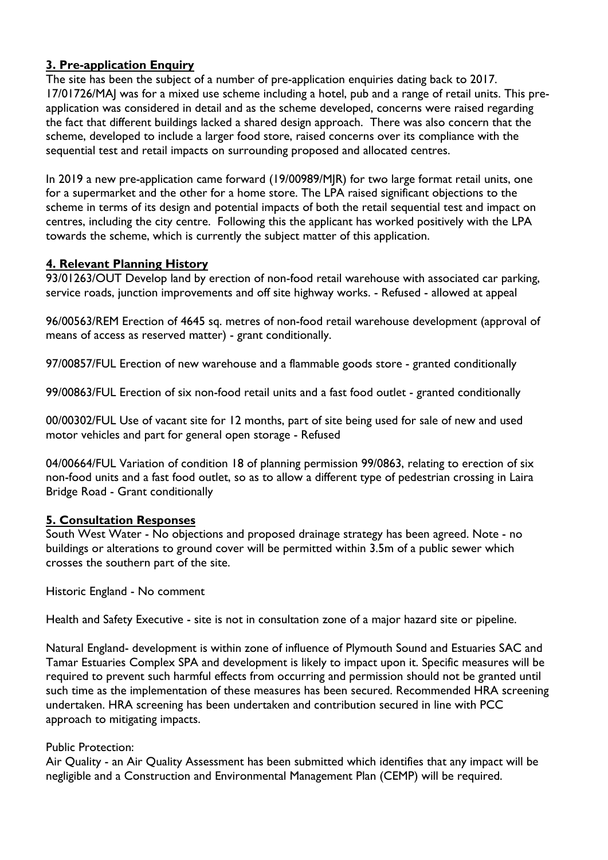# **3. Pre-application Enquiry**

The site has been the subject of a number of pre-application enquiries dating back to 2017. 17/01726/MAJ was for a mixed use scheme including a hotel, pub and a range of retail units. This preapplication was considered in detail and as the scheme developed, concerns were raised regarding the fact that different buildings lacked a shared design approach. There was also concern that the scheme, developed to include a larger food store, raised concerns over its compliance with the sequential test and retail impacts on surrounding proposed and allocated centres.

In 2019 a new pre-application came forward (19/00989/MJR) for two large format retail units, one for a supermarket and the other for a home store. The LPA raised significant objections to the scheme in terms of its design and potential impacts of both the retail sequential test and impact on centres, including the city centre. Following this the applicant has worked positively with the LPA towards the scheme, which is currently the subject matter of this application.

### **4. Relevant Planning History**

93/01263/OUT Develop land by erection of non-food retail warehouse with associated car parking, service roads, junction improvements and off site highway works. - Refused - allowed at appeal

96/00563/REM Erection of 4645 sq. metres of non-food retail warehouse development (approval of means of access as reserved matter) - grant conditionally.

97/00857/FUL Erection of new warehouse and a flammable goods store - granted conditionally

99/00863/FUL Erection of six non-food retail units and a fast food outlet - granted conditionally

00/00302/FUL Use of vacant site for 12 months, part of site being used for sale of new and used motor vehicles and part for general open storage - Refused

04/00664/FUL Variation of condition 18 of planning permission 99/0863, relating to erection of six non-food units and a fast food outlet, so as to allow a different type of pedestrian crossing in Laira Bridge Road - Grant conditionally

### **5. Consultation Responses**

South West Water - No objections and proposed drainage strategy has been agreed. Note - no buildings or alterations to ground cover will be permitted within 3.5m of a public sewer which crosses the southern part of the site.

Historic England - No comment

Health and Safety Executive - site is not in consultation zone of a major hazard site or pipeline.

Natural England- development is within zone of influence of Plymouth Sound and Estuaries SAC and Tamar Estuaries Complex SPA and development is likely to impact upon it. Specific measures will be required to prevent such harmful effects from occurring and permission should not be granted until such time as the implementation of these measures has been secured. Recommended HRA screening undertaken. HRA screening has been undertaken and contribution secured in line with PCC approach to mitigating impacts.

### Public Protection:

Air Quality - an Air Quality Assessment has been submitted which identifies that any impact will be negligible and a Construction and Environmental Management Plan (CEMP) will be required.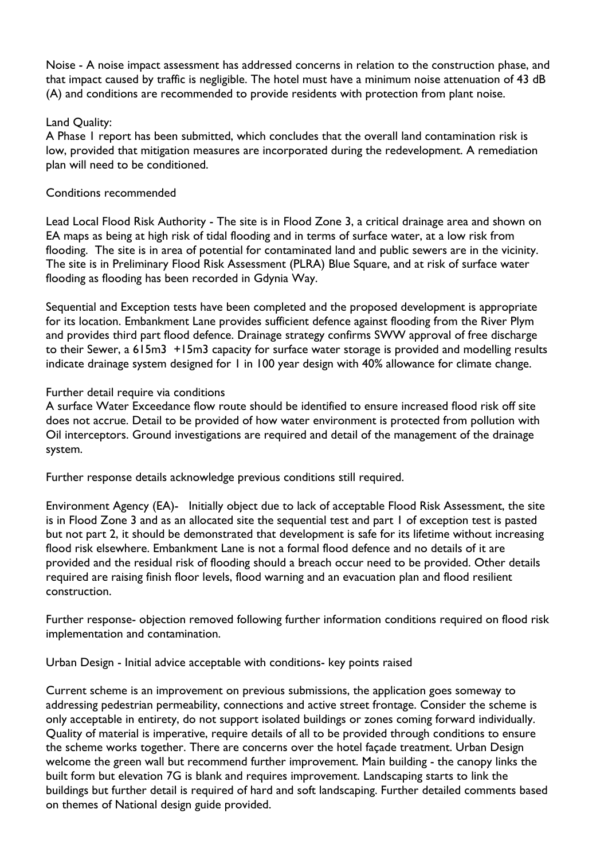Noise - A noise impact assessment has addressed concerns in relation to the construction phase, and that impact caused by traffic is negligible. The hotel must have a minimum noise attenuation of 43 dB (A) and conditions are recommended to provide residents with protection from plant noise.

### Land Quality:

A Phase 1 report has been submitted, which concludes that the overall land contamination risk is low, provided that mitigation measures are incorporated during the redevelopment. A remediation plan will need to be conditioned.

### Conditions recommended

Lead Local Flood Risk Authority - The site is in Flood Zone 3, a critical drainage area and shown on EA maps as being at high risk of tidal flooding and in terms of surface water, at a low risk from flooding. The site is in area of potential for contaminated land and public sewers are in the vicinity. The site is in Preliminary Flood Risk Assessment (PLRA) Blue Square, and at risk of surface water flooding as flooding has been recorded in Gdynia Way.

Sequential and Exception tests have been completed and the proposed development is appropriate for its location. Embankment Lane provides sufficient defence against flooding from the River Plym and provides third part flood defence. Drainage strategy confirms SWW approval of free discharge to their Sewer, a 615m3 +15m3 capacity for surface water storage is provided and modelling results indicate drainage system designed for 1 in 100 year design with 40% allowance for climate change.

### Further detail require via conditions

A surface Water Exceedance flow route should be identified to ensure increased flood risk off site does not accrue. Detail to be provided of how water environment is protected from pollution with Oil interceptors. Ground investigations are required and detail of the management of the drainage system.

Further response details acknowledge previous conditions still required.

Environment Agency (EA)- Initially object due to lack of acceptable Flood Risk Assessment, the site is in Flood Zone 3 and as an allocated site the sequential test and part 1 of exception test is pasted but not part 2, it should be demonstrated that development is safe for its lifetime without increasing flood risk elsewhere. Embankment Lane is not a formal flood defence and no details of it are provided and the residual risk of flooding should a breach occur need to be provided. Other details required are raising finish floor levels, flood warning and an evacuation plan and flood resilient construction.

Further response- objection removed following further information conditions required on flood risk implementation and contamination.

Urban Design - Initial advice acceptable with conditions- key points raised

Current scheme is an improvement on previous submissions, the application goes someway to addressing pedestrian permeability, connections and active street frontage. Consider the scheme is only acceptable in entirety, do not support isolated buildings or zones coming forward individually. Quality of material is imperative, require details of all to be provided through conditions to ensure the scheme works together. There are concerns over the hotel façade treatment. Urban Design welcome the green wall but recommend further improvement. Main building - the canopy links the built form but elevation 7G is blank and requires improvement. Landscaping starts to link the buildings but further detail is required of hard and soft landscaping. Further detailed comments based on themes of National design guide provided.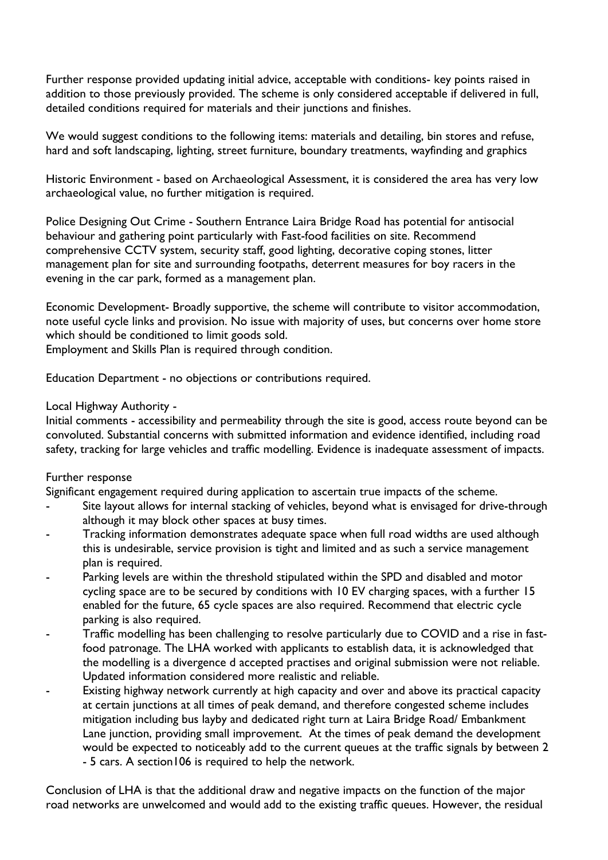Further response provided updating initial advice, acceptable with conditions- key points raised in addition to those previously provided. The scheme is only considered acceptable if delivered in full, detailed conditions required for materials and their junctions and finishes.

We would suggest conditions to the following items: materials and detailing, bin stores and refuse, hard and soft landscaping, lighting, street furniture, boundary treatments, wayfinding and graphics

Historic Environment - based on Archaeological Assessment, it is considered the area has very low archaeological value, no further mitigation is required.

Police Designing Out Crime - Southern Entrance Laira Bridge Road has potential for antisocial behaviour and gathering point particularly with Fast-food facilities on site. Recommend comprehensive CCTV system, security staff, good lighting, decorative coping stones, litter management plan for site and surrounding footpaths, deterrent measures for boy racers in the evening in the car park, formed as a management plan.

Economic Development- Broadly supportive, the scheme will contribute to visitor accommodation, note useful cycle links and provision. No issue with majority of uses, but concerns over home store which should be conditioned to limit goods sold.

Employment and Skills Plan is required through condition.

Education Department - no objections or contributions required.

#### Local Highway Authority -

Initial comments - accessibility and permeability through the site is good, access route beyond can be convoluted. Substantial concerns with submitted information and evidence identified, including road safety, tracking for large vehicles and traffic modelling. Evidence is inadequate assessment of impacts.

#### Further response

Significant engagement required during application to ascertain true impacts of the scheme.

- Site layout allows for internal stacking of vehicles, beyond what is envisaged for drive-through although it may block other spaces at busy times.
- Tracking information demonstrates adequate space when full road widths are used although this is undesirable, service provision is tight and limited and as such a service management plan is required.
- Parking levels are within the threshold stipulated within the SPD and disabled and motor cycling space are to be secured by conditions with 10 EV charging spaces, with a further 15 enabled for the future, 65 cycle spaces are also required. Recommend that electric cycle parking is also required.
- Traffic modelling has been challenging to resolve particularly due to COVID and a rise in fastfood patronage. The LHA worked with applicants to establish data, it is acknowledged that the modelling is a divergence d accepted practises and original submission were not reliable. Updated information considered more realistic and reliable.
- Existing highway network currently at high capacity and over and above its practical capacity at certain junctions at all times of peak demand, and therefore congested scheme includes mitigation including bus layby and dedicated right turn at Laira Bridge Road/ Embankment Lane junction, providing small improvement. At the times of peak demand the development would be expected to noticeably add to the current queues at the traffic signals by between 2 - 5 cars. A section106 is required to help the network.

Conclusion of LHA is that the additional draw and negative impacts on the function of the major road networks are unwelcomed and would add to the existing traffic queues. However, the residual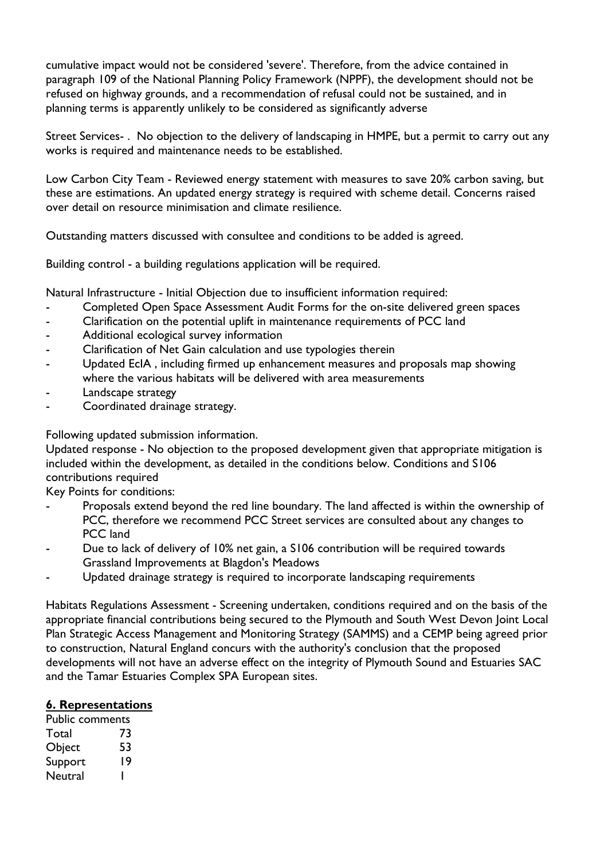cumulative impact would not be considered 'severe'. Therefore, from the advice contained in paragraph 109 of the National Planning Policy Framework (NPPF), the development should not be refused on highway grounds, and a recommendation of refusal could not be sustained, and in planning terms is apparently unlikely to be considered as significantly adverse

Street Services- . No objection to the delivery of landscaping in HMPE, but a permit to carry out any works is required and maintenance needs to be established.

Low Carbon City Team - Reviewed energy statement with measures to save 20% carbon saving, but these are estimations. An updated energy strategy is required with scheme detail. Concerns raised over detail on resource minimisation and climate resilience.

Outstanding matters discussed with consultee and conditions to be added is agreed.

Building control - a building regulations application will be required.

Natural Infrastructure - Initial Objection due to insufficient information required:

- Completed Open Space Assessment Audit Forms for the on-site delivered green spaces
- Clarification on the potential uplift in maintenance requirements of PCC land
- Additional ecological survey information
- Clarification of Net Gain calculation and use typologies therein
- Updated EcIA, including firmed up enhancement measures and proposals map showing where the various habitats will be delivered with area measurements
- Landscape strategy
- Coordinated drainage strategy.

Following updated submission information.

Updated response - No objection to the proposed development given that appropriate mitigation is included within the development, as detailed in the conditions below. Conditions and S106 contributions required

Key Points for conditions:

- Proposals extend beyond the red line boundary. The land affected is within the ownership of PCC, therefore we recommend PCC Street services are consulted about any changes to PCC land
- Due to lack of delivery of 10% net gain, a S106 contribution will be required towards Grassland Improvements at Blagdon's Meadows
- Updated drainage strategy is required to incorporate landscaping requirements

Habitats Regulations Assessment - Screening undertaken, conditions required and on the basis of the appropriate financial contributions being secured to the Plymouth and South West Devon Joint Local Plan Strategic Access Management and Monitoring Strategy (SAMMS) and a CEMP being agreed prior to construction, Natural England concurs with the authority's conclusion that the proposed developments will not have an adverse effect on the integrity of Plymouth Sound and Estuaries SAC and the Tamar Estuaries Complex SPA European sites.

### **6. Representations**

Public comments Total 73 Object 53 Support 19 Neutral 1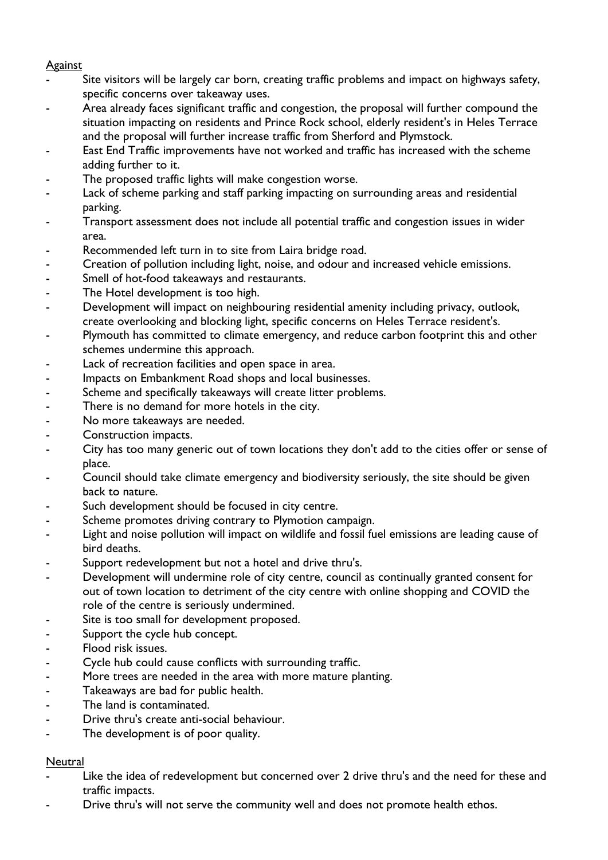#### Against

- Site visitors will be largely car born, creating traffic problems and impact on highways safety, specific concerns over takeaway uses.
- Area already faces significant traffic and congestion, the proposal will further compound the situation impacting on residents and Prince Rock school, elderly resident's in Heles Terrace and the proposal will further increase traffic from Sherford and Plymstock.
- East End Traffic improvements have not worked and traffic has increased with the scheme adding further to it.
- The proposed traffic lights will make congestion worse.
- Lack of scheme parking and staff parking impacting on surrounding areas and residential parking.
- Transport assessment does not include all potential traffic and congestion issues in wider area.
- Recommended left turn in to site from Laira bridge road.
- Creation of pollution including light, noise, and odour and increased vehicle emissions.
- Smell of hot-food takeaways and restaurants.
- The Hotel development is too high.
- Development will impact on neighbouring residential amenity including privacy, outlook, create overlooking and blocking light, specific concerns on Heles Terrace resident's.
- Plymouth has committed to climate emergency, and reduce carbon footprint this and other schemes undermine this approach.
- Lack of recreation facilities and open space in area.
- Impacts on Embankment Road shops and local businesses.
- Scheme and specifically takeaways will create litter problems.
- There is no demand for more hotels in the city.
- No more takeaways are needed.
- Construction impacts.
- City has too many generic out of town locations they don't add to the cities offer or sense of place.
- Council should take climate emergency and biodiversity seriously, the site should be given back to nature.
- Such development should be focused in city centre.
- Scheme promotes driving contrary to Plymotion campaign.
- Light and noise pollution will impact on wildlife and fossil fuel emissions are leading cause of bird deaths.
- Support redevelopment but not a hotel and drive thru's.
- Development will undermine role of city centre, council as continually granted consent for out of town location to detriment of the city centre with online shopping and COVID the role of the centre is seriously undermined.
- Site is too small for development proposed.
- Support the cycle hub concept.
- Flood risk issues.
- Cycle hub could cause conflicts with surrounding traffic.
- More trees are needed in the area with more mature planting.
- Takeaways are bad for public health.
- The land is contaminated.
- Drive thru's create anti-social behaviour.
- The development is of poor quality.

### **Neutral**

- Like the idea of redevelopment but concerned over 2 drive thru's and the need for these and traffic impacts.
- Drive thru's will not serve the community well and does not promote health ethos.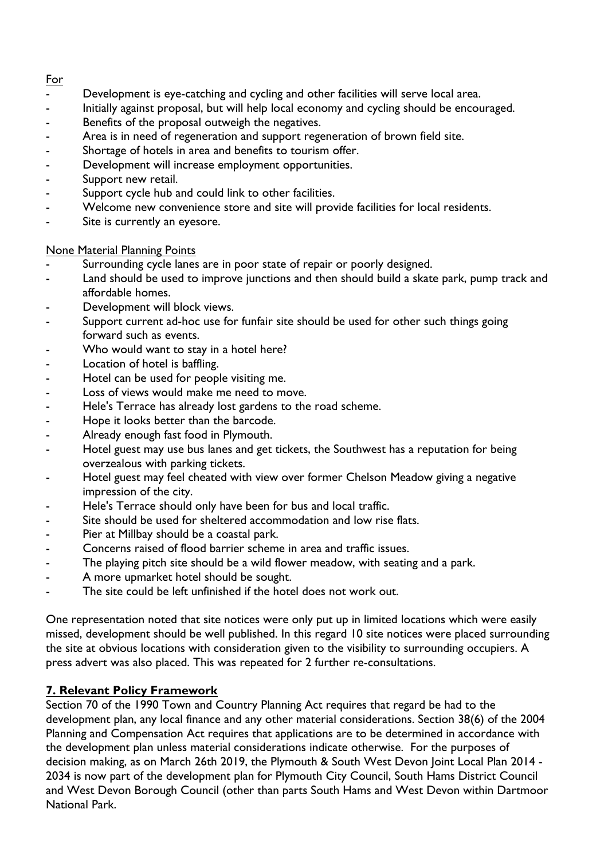### For

- Development is eye-catching and cycling and other facilities will serve local area.
- Initially against proposal, but will help local economy and cycling should be encouraged.
- Benefits of the proposal outweigh the negatives.
- Area is in need of regeneration and support regeneration of brown field site.
- Shortage of hotels in area and benefits to tourism offer.
- Development will increase employment opportunities.
- Support new retail.
- Support cycle hub and could link to other facilities.
- Welcome new convenience store and site will provide facilities for local residents.
- Site is currently an eyesore.

### None Material Planning Points

- Surrounding cycle lanes are in poor state of repair or poorly designed.
- Land should be used to improve junctions and then should build a skate park, pump track and affordable homes.
- Development will block views.
- Support current ad-hoc use for funfair site should be used for other such things going forward such as events.
- Who would want to stay in a hotel here?
- Location of hotel is baffling.
- Hotel can be used for people visiting me.
- Loss of views would make me need to move.
- Hele's Terrace has already lost gardens to the road scheme.
- Hope it looks better than the barcode.
- Already enough fast food in Plymouth.
- Hotel guest may use bus lanes and get tickets, the Southwest has a reputation for being overzealous with parking tickets.
- Hotel guest may feel cheated with view over former Chelson Meadow giving a negative impression of the city.
- Hele's Terrace should only have been for bus and local traffic.
- Site should be used for sheltered accommodation and low rise flats.
- Pier at Millbay should be a coastal park.
- Concerns raised of flood barrier scheme in area and traffic issues.
- The playing pitch site should be a wild flower meadow, with seating and a park.
- A more upmarket hotel should be sought.
- The site could be left unfinished if the hotel does not work out.

One representation noted that site notices were only put up in limited locations which were easily missed, development should be well published. In this regard 10 site notices were placed surrounding the site at obvious locations with consideration given to the visibility to surrounding occupiers. A press advert was also placed. This was repeated for 2 further re-consultations.

# **7. Relevant Policy Framework**

Section 70 of the 1990 Town and Country Planning Act requires that regard be had to the development plan, any local finance and any other material considerations. Section 38(6) of the 2004 Planning and Compensation Act requires that applications are to be determined in accordance with the development plan unless material considerations indicate otherwise. For the purposes of decision making, as on March 26th 2019, the Plymouth & South West Devon Joint Local Plan 2014 - 2034 is now part of the development plan for Plymouth City Council, South Hams District Council and West Devon Borough Council (other than parts South Hams and West Devon within Dartmoor National Park.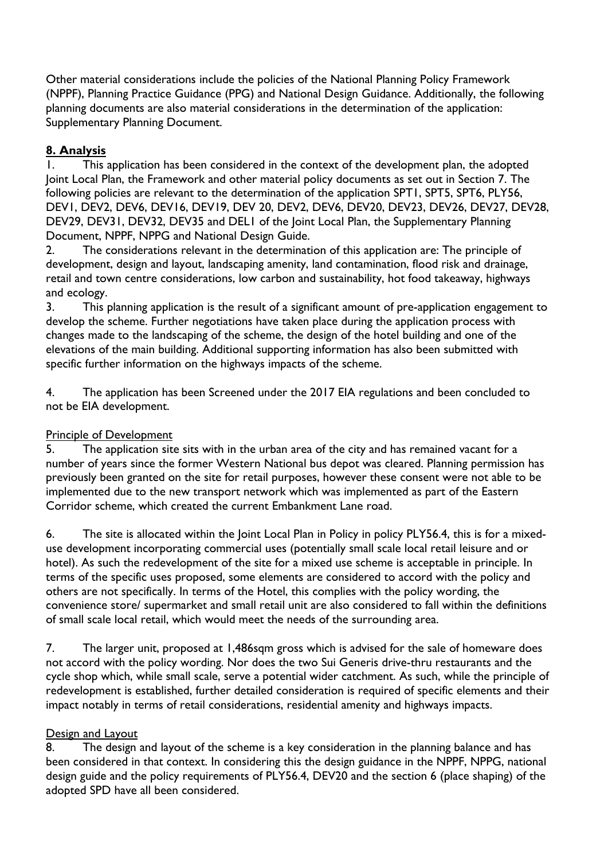Other material considerations include the policies of the National Planning Policy Framework (NPPF), Planning Practice Guidance (PPG) and National Design Guidance. Additionally, the following planning documents are also material considerations in the determination of the application: Supplementary Planning Document.

# **8. Analysis**

1. This application has been considered in the context of the development plan, the adopted Joint Local Plan, the Framework and other material policy documents as set out in Section 7. The following policies are relevant to the determination of the application SPT1, SPT5, SPT6, PLY56, DEV1, DEV2, DEV6, DEV16, DEV19, DEV 20, DEV2, DEV6, DEV20, DEV23, DEV26, DEV27, DEV28, DEV29, DEV31, DEV32, DEV35 and DEL1 of the Joint Local Plan, the Supplementary Planning Document, NPPF, NPPG and National Design Guide.

2. The considerations relevant in the determination of this application are: The principle of development, design and layout, landscaping amenity, land contamination, flood risk and drainage, retail and town centre considerations, low carbon and sustainability, hot food takeaway, highways and ecology.

3. This planning application is the result of a significant amount of pre-application engagement to develop the scheme. Further negotiations have taken place during the application process with changes made to the landscaping of the scheme, the design of the hotel building and one of the elevations of the main building. Additional supporting information has also been submitted with specific further information on the highways impacts of the scheme.

4. The application has been Screened under the 2017 EIA regulations and been concluded to not be EIA development.

# Principle of Development

5. The application site sits with in the urban area of the city and has remained vacant for a number of years since the former Western National bus depot was cleared. Planning permission has previously been granted on the site for retail purposes, however these consent were not able to be implemented due to the new transport network which was implemented as part of the Eastern Corridor scheme, which created the current Embankment Lane road.

6. The site is allocated within the Joint Local Plan in Policy in policy PLY56.4, this is for a mixeduse development incorporating commercial uses (potentially small scale local retail leisure and or hotel). As such the redevelopment of the site for a mixed use scheme is acceptable in principle. In terms of the specific uses proposed, some elements are considered to accord with the policy and others are not specifically. In terms of the Hotel, this complies with the policy wording, the convenience store/ supermarket and small retail unit are also considered to fall within the definitions of small scale local retail, which would meet the needs of the surrounding area.

7. The larger unit, proposed at 1,486sqm gross which is advised for the sale of homeware does not accord with the policy wording. Nor does the two Sui Generis drive-thru restaurants and the cycle shop which, while small scale, serve a potential wider catchment. As such, while the principle of redevelopment is established, further detailed consideration is required of specific elements and their impact notably in terms of retail considerations, residential amenity and highways impacts.

# Design and Layout

8. The design and layout of the scheme is a key consideration in the planning balance and has been considered in that context. In considering this the design guidance in the NPPF, NPPG, national design guide and the policy requirements of PLY56.4, DEV20 and the section 6 (place shaping) of the adopted SPD have all been considered.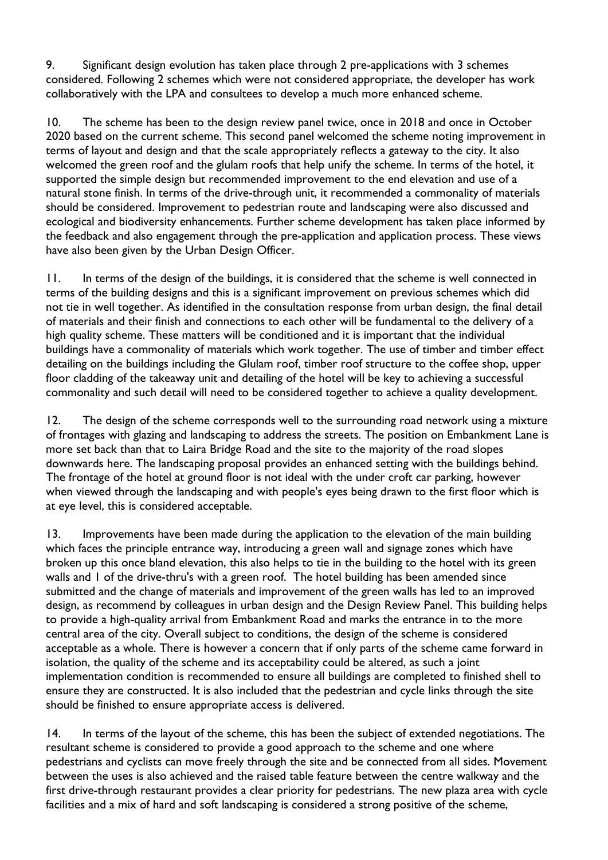9. Significant design evolution has taken place through 2 pre-applications with 3 schemes considered. Following 2 schemes which were not considered appropriate, the developer has work collaboratively with the LPA and consultees to develop a much more enhanced scheme.

10. The scheme has been to the design review panel twice, once in 2018 and once in October 2020 based on the current scheme. This second panel welcomed the scheme noting improvement in terms of layout and design and that the scale appropriately reflects a gateway to the city. It also welcomed the green roof and the glulam roofs that help unify the scheme. In terms of the hotel, it supported the simple design but recommended improvement to the end elevation and use of a natural stone finish. In terms of the drive-through unit, it recommended a commonality of materials should be considered. Improvement to pedestrian route and landscaping were also discussed and ecological and biodiversity enhancements. Further scheme development has taken place informed by the feedback and also engagement through the pre-application and application process. These views have also been given by the Urban Design Officer.

11. In terms of the design of the buildings, it is considered that the scheme is well connected in terms of the building designs and this is a significant improvement on previous schemes which did not tie in well together. As identified in the consultation response from urban design, the final detail of materials and their finish and connections to each other will be fundamental to the delivery of a high quality scheme. These matters will be conditioned and it is important that the individual buildings have a commonality of materials which work together. The use of timber and timber effect detailing on the buildings including the Glulam roof, timber roof structure to the coffee shop, upper floor cladding of the takeaway unit and detailing of the hotel will be key to achieving a successful commonality and such detail will need to be considered together to achieve a quality development.

12. The design of the scheme corresponds well to the surrounding road network using a mixture of frontages with glazing and landscaping to address the streets. The position on Embankment Lane is more set back than that to Laira Bridge Road and the site to the majority of the road slopes downwards here. The landscaping proposal provides an enhanced setting with the buildings behind. The frontage of the hotel at ground floor is not ideal with the under croft car parking, however when viewed through the landscaping and with people's eyes being drawn to the first floor which is at eye level, this is considered acceptable.

13. Improvements have been made during the application to the elevation of the main building which faces the principle entrance way, introducing a green wall and signage zones which have broken up this once bland elevation, this also helps to tie in the building to the hotel with its green walls and 1 of the drive-thru's with a green roof. The hotel building has been amended since submitted and the change of materials and improvement of the green walls has led to an improved design, as recommend by colleagues in urban design and the Design Review Panel. This building helps to provide a high-quality arrival from Embankment Road and marks the entrance in to the more central area of the city. Overall subject to conditions, the design of the scheme is considered acceptable as a whole. There is however a concern that if only parts of the scheme came forward in isolation, the quality of the scheme and its acceptability could be altered, as such a joint implementation condition is recommended to ensure all buildings are completed to finished shell to ensure they are constructed. It is also included that the pedestrian and cycle links through the site should be finished to ensure appropriate access is delivered.

14. In terms of the layout of the scheme, this has been the subject of extended negotiations. The resultant scheme is considered to provide a good approach to the scheme and one where pedestrians and cyclists can move freely through the site and be connected from all sides. Movement between the uses is also achieved and the raised table feature between the centre walkway and the first drive-through restaurant provides a clear priority for pedestrians. The new plaza area with cycle facilities and a mix of hard and soft landscaping is considered a strong positive of the scheme,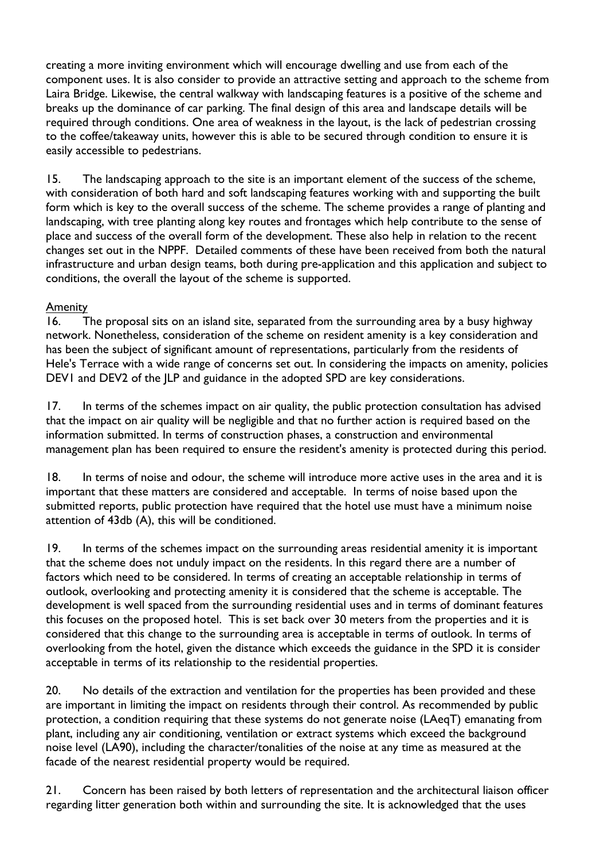creating a more inviting environment which will encourage dwelling and use from each of the component uses. It is also consider to provide an attractive setting and approach to the scheme from Laira Bridge. Likewise, the central walkway with landscaping features is a positive of the scheme and breaks up the dominance of car parking. The final design of this area and landscape details will be required through conditions. One area of weakness in the layout, is the lack of pedestrian crossing to the coffee/takeaway units, however this is able to be secured through condition to ensure it is easily accessible to pedestrians.

15. The landscaping approach to the site is an important element of the success of the scheme, with consideration of both hard and soft landscaping features working with and supporting the built form which is key to the overall success of the scheme. The scheme provides a range of planting and landscaping, with tree planting along key routes and frontages which help contribute to the sense of place and success of the overall form of the development. These also help in relation to the recent changes set out in the NPPF. Detailed comments of these have been received from both the natural infrastructure and urban design teams, both during pre-application and this application and subject to conditions, the overall the layout of the scheme is supported.

### Amenity

16. The proposal sits on an island site, separated from the surrounding area by a busy highway network. Nonetheless, consideration of the scheme on resident amenity is a key consideration and has been the subject of significant amount of representations, particularly from the residents of Hele's Terrace with a wide range of concerns set out. In considering the impacts on amenity, policies DEV1 and DEV2 of the JLP and guidance in the adopted SPD are key considerations.

17. In terms of the schemes impact on air quality, the public protection consultation has advised that the impact on air quality will be negligible and that no further action is required based on the information submitted. In terms of construction phases, a construction and environmental management plan has been required to ensure the resident's amenity is protected during this period.

18. In terms of noise and odour, the scheme will introduce more active uses in the area and it is important that these matters are considered and acceptable. In terms of noise based upon the submitted reports, public protection have required that the hotel use must have a minimum noise attention of 43db (A), this will be conditioned.

19. In terms of the schemes impact on the surrounding areas residential amenity it is important that the scheme does not unduly impact on the residents. In this regard there are a number of factors which need to be considered. In terms of creating an acceptable relationship in terms of outlook, overlooking and protecting amenity it is considered that the scheme is acceptable. The development is well spaced from the surrounding residential uses and in terms of dominant features this focuses on the proposed hotel. This is set back over 30 meters from the properties and it is considered that this change to the surrounding area is acceptable in terms of outlook. In terms of overlooking from the hotel, given the distance which exceeds the guidance in the SPD it is consider acceptable in terms of its relationship to the residential properties.

20. No details of the extraction and ventilation for the properties has been provided and these are important in limiting the impact on residents through their control. As recommended by public protection, a condition requiring that these systems do not generate noise (LAeqT) emanating from plant, including any air conditioning, ventilation or extract systems which exceed the background noise level (LA90), including the character/tonalities of the noise at any time as measured at the facade of the nearest residential property would be required.

21. Concern has been raised by both letters of representation and the architectural liaison officer regarding litter generation both within and surrounding the site. It is acknowledged that the uses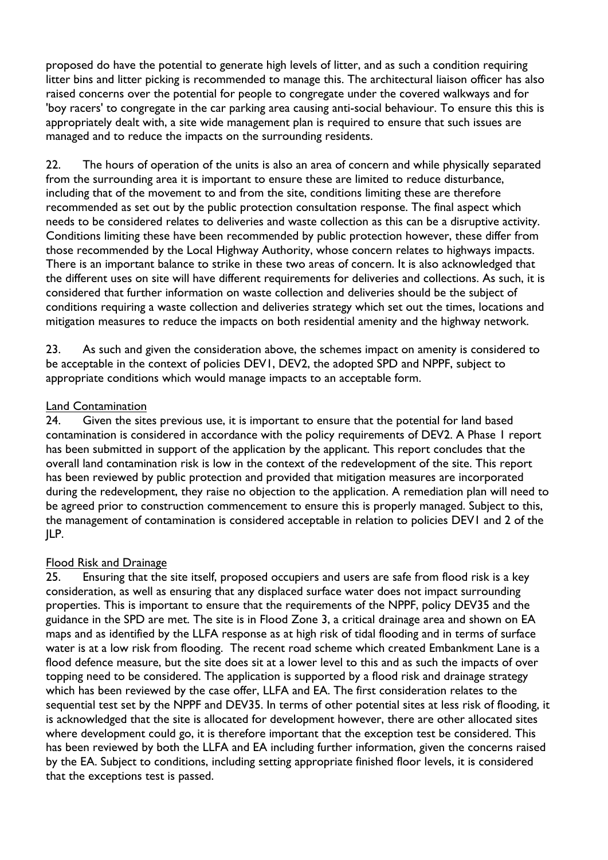proposed do have the potential to generate high levels of litter, and as such a condition requiring litter bins and litter picking is recommended to manage this. The architectural liaison officer has also raised concerns over the potential for people to congregate under the covered walkways and for 'boy racers' to congregate in the car parking area causing anti-social behaviour. To ensure this this is appropriately dealt with, a site wide management plan is required to ensure that such issues are managed and to reduce the impacts on the surrounding residents.

22. The hours of operation of the units is also an area of concern and while physically separated from the surrounding area it is important to ensure these are limited to reduce disturbance, including that of the movement to and from the site, conditions limiting these are therefore recommended as set out by the public protection consultation response. The final aspect which needs to be considered relates to deliveries and waste collection as this can be a disruptive activity. Conditions limiting these have been recommended by public protection however, these differ from those recommended by the Local Highway Authority, whose concern relates to highways impacts. There is an important balance to strike in these two areas of concern. It is also acknowledged that the different uses on site will have different requirements for deliveries and collections. As such, it is considered that further information on waste collection and deliveries should be the subject of conditions requiring a waste collection and deliveries strategy which set out the times, locations and mitigation measures to reduce the impacts on both residential amenity and the highway network.

23. As such and given the consideration above, the schemes impact on amenity is considered to be acceptable in the context of policies DEV1, DEV2, the adopted SPD and NPPF, subject to appropriate conditions which would manage impacts to an acceptable form.

### Land Contamination

24. Given the sites previous use, it is important to ensure that the potential for land based contamination is considered in accordance with the policy requirements of DEV2. A Phase 1 report has been submitted in support of the application by the applicant. This report concludes that the overall land contamination risk is low in the context of the redevelopment of the site. This report has been reviewed by public protection and provided that mitigation measures are incorporated during the redevelopment, they raise no objection to the application. A remediation plan will need to be agreed prior to construction commencement to ensure this is properly managed. Subject to this, the management of contamination is considered acceptable in relation to policies DEV1 and 2 of the JLP.

# Flood Risk and Drainage

25. Ensuring that the site itself, proposed occupiers and users are safe from flood risk is a key consideration, as well as ensuring that any displaced surface water does not impact surrounding properties. This is important to ensure that the requirements of the NPPF, policy DEV35 and the guidance in the SPD are met. The site is in Flood Zone 3, a critical drainage area and shown on EA maps and as identified by the LLFA response as at high risk of tidal flooding and in terms of surface water is at a low risk from flooding. The recent road scheme which created Embankment Lane is a flood defence measure, but the site does sit at a lower level to this and as such the impacts of over topping need to be considered. The application is supported by a flood risk and drainage strategy which has been reviewed by the case offer, LLFA and EA. The first consideration relates to the sequential test set by the NPPF and DEV35. In terms of other potential sites at less risk of flooding, it is acknowledged that the site is allocated for development however, there are other allocated sites where development could go, it is therefore important that the exception test be considered. This has been reviewed by both the LLFA and EA including further information, given the concerns raised by the EA. Subject to conditions, including setting appropriate finished floor levels, it is considered that the exceptions test is passed.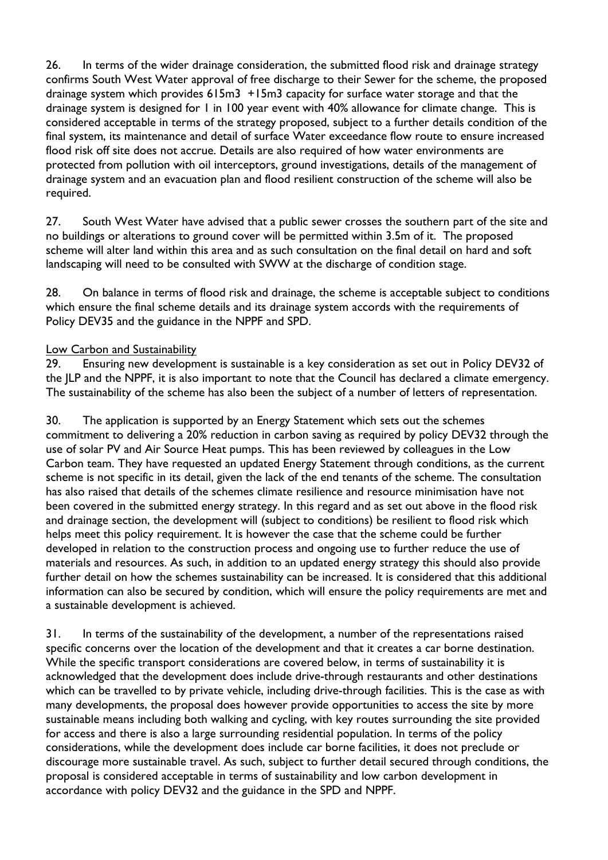26. In terms of the wider drainage consideration, the submitted flood risk and drainage strategy confirms South West Water approval of free discharge to their Sewer for the scheme, the proposed drainage system which provides 615m3 +15m3 capacity for surface water storage and that the drainage system is designed for 1 in 100 year event with 40% allowance for climate change. This is considered acceptable in terms of the strategy proposed, subject to a further details condition of the final system, its maintenance and detail of surface Water exceedance flow route to ensure increased flood risk off site does not accrue. Details are also required of how water environments are protected from pollution with oil interceptors, ground investigations, details of the management of drainage system and an evacuation plan and flood resilient construction of the scheme will also be required.

27. South West Water have advised that a public sewer crosses the southern part of the site and no buildings or alterations to ground cover will be permitted within 3.5m of it. The proposed scheme will alter land within this area and as such consultation on the final detail on hard and soft landscaping will need to be consulted with SWW at the discharge of condition stage.

28. On balance in terms of flood risk and drainage, the scheme is acceptable subject to conditions which ensure the final scheme details and its drainage system accords with the requirements of Policy DEV35 and the guidance in the NPPF and SPD.

### Low Carbon and Sustainability

29. Ensuring new development is sustainable is a key consideration as set out in Policy DEV32 of the JLP and the NPPF, it is also important to note that the Council has declared a climate emergency. The sustainability of the scheme has also been the subject of a number of letters of representation.

30. The application is supported by an Energy Statement which sets out the schemes commitment to delivering a 20% reduction in carbon saving as required by policy DEV32 through the use of solar PV and Air Source Heat pumps. This has been reviewed by colleagues in the Low Carbon team. They have requested an updated Energy Statement through conditions, as the current scheme is not specific in its detail, given the lack of the end tenants of the scheme. The consultation has also raised that details of the schemes climate resilience and resource minimisation have not been covered in the submitted energy strategy. In this regard and as set out above in the flood risk and drainage section, the development will (subject to conditions) be resilient to flood risk which helps meet this policy requirement. It is however the case that the scheme could be further developed in relation to the construction process and ongoing use to further reduce the use of materials and resources. As such, in addition to an updated energy strategy this should also provide further detail on how the schemes sustainability can be increased. It is considered that this additional information can also be secured by condition, which will ensure the policy requirements are met and a sustainable development is achieved.

31. In terms of the sustainability of the development, a number of the representations raised specific concerns over the location of the development and that it creates a car borne destination. While the specific transport considerations are covered below, in terms of sustainability it is acknowledged that the development does include drive-through restaurants and other destinations which can be travelled to by private vehicle, including drive-through facilities. This is the case as with many developments, the proposal does however provide opportunities to access the site by more sustainable means including both walking and cycling, with key routes surrounding the site provided for access and there is also a large surrounding residential population. In terms of the policy considerations, while the development does include car borne facilities, it does not preclude or discourage more sustainable travel. As such, subject to further detail secured through conditions, the proposal is considered acceptable in terms of sustainability and low carbon development in accordance with policy DEV32 and the guidance in the SPD and NPPF.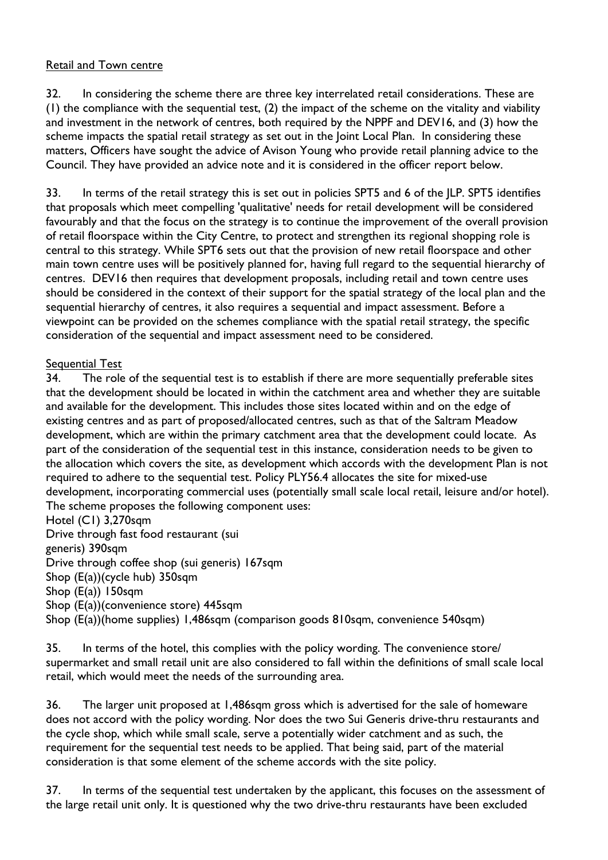### Retail and Town centre

32. In considering the scheme there are three key interrelated retail considerations. These are (1) the compliance with the sequential test, (2) the impact of the scheme on the vitality and viability and investment in the network of centres, both required by the NPPF and DEV16, and (3) how the scheme impacts the spatial retail strategy as set out in the Joint Local Plan. In considering these matters, Officers have sought the advice of Avison Young who provide retail planning advice to the Council. They have provided an advice note and it is considered in the officer report below.

33. In terms of the retail strategy this is set out in policies SPT5 and 6 of the JLP. SPT5 identifies that proposals which meet compelling 'qualitative' needs for retail development will be considered favourably and that the focus on the strategy is to continue the improvement of the overall provision of retail floorspace within the City Centre, to protect and strengthen its regional shopping role is central to this strategy. While SPT6 sets out that the provision of new retail floorspace and other main town centre uses will be positively planned for, having full regard to the sequential hierarchy of centres. DEV16 then requires that development proposals, including retail and town centre uses should be considered in the context of their support for the spatial strategy of the local plan and the sequential hierarchy of centres, it also requires a sequential and impact assessment. Before a viewpoint can be provided on the schemes compliance with the spatial retail strategy, the specific consideration of the sequential and impact assessment need to be considered.

#### Sequential Test

34. The role of the sequential test is to establish if there are more sequentially preferable sites that the development should be located in within the catchment area and whether they are suitable and available for the development. This includes those sites located within and on the edge of existing centres and as part of proposed/allocated centres, such as that of the Saltram Meadow development, which are within the primary catchment area that the development could locate. As part of the consideration of the sequential test in this instance, consideration needs to be given to the allocation which covers the site, as development which accords with the development Plan is not required to adhere to the sequential test. Policy PLY56.4 allocates the site for mixed-use development, incorporating commercial uses (potentially small scale local retail, leisure and/or hotel). The scheme proposes the following component uses:

Hotel (C1) 3,270sqm

Drive through fast food restaurant (sui

generis) 390sqm

Drive through coffee shop (sui generis) 167sqm

Shop (E(a))(cycle hub) 350sqm

Shop (E(a)) 150sqm

Shop (E(a))(convenience store) 445sqm

Shop (E(a))(home supplies) 1,486sqm (comparison goods 810sqm, convenience 540sqm)

35. In terms of the hotel, this complies with the policy wording. The convenience store/ supermarket and small retail unit are also considered to fall within the definitions of small scale local retail, which would meet the needs of the surrounding area.

36. The larger unit proposed at 1,486sqm gross which is advertised for the sale of homeware does not accord with the policy wording. Nor does the two Sui Generis drive-thru restaurants and the cycle shop, which while small scale, serve a potentially wider catchment and as such, the requirement for the sequential test needs to be applied. That being said, part of the material consideration is that some element of the scheme accords with the site policy.

37. In terms of the sequential test undertaken by the applicant, this focuses on the assessment of the large retail unit only. It is questioned why the two drive-thru restaurants have been excluded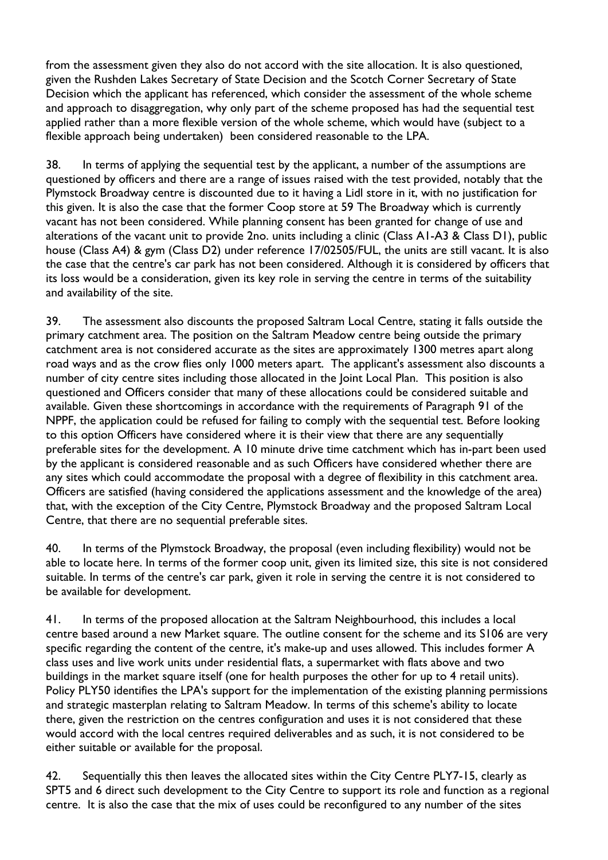from the assessment given they also do not accord with the site allocation. It is also questioned, given the Rushden Lakes Secretary of State Decision and the Scotch Corner Secretary of State Decision which the applicant has referenced, which consider the assessment of the whole scheme and approach to disaggregation, why only part of the scheme proposed has had the sequential test applied rather than a more flexible version of the whole scheme, which would have (subject to a flexible approach being undertaken) been considered reasonable to the LPA.

38. In terms of applying the sequential test by the applicant, a number of the assumptions are questioned by officers and there are a range of issues raised with the test provided, notably that the Plymstock Broadway centre is discounted due to it having a Lidl store in it, with no justification for this given. It is also the case that the former Coop store at 59 The Broadway which is currently vacant has not been considered. While planning consent has been granted for change of use and alterations of the vacant unit to provide 2no. units including a clinic (Class A1-A3 & Class D1), public house (Class A4) & gym (Class D2) under reference 17/02505/FUL, the units are still vacant. It is also the case that the centre's car park has not been considered. Although it is considered by officers that its loss would be a consideration, given its key role in serving the centre in terms of the suitability and availability of the site.

39. The assessment also discounts the proposed Saltram Local Centre, stating it falls outside the primary catchment area. The position on the Saltram Meadow centre being outside the primary catchment area is not considered accurate as the sites are approximately 1300 metres apart along road ways and as the crow flies only 1000 meters apart. The applicant's assessment also discounts a number of city centre sites including those allocated in the Joint Local Plan. This position is also questioned and Officers consider that many of these allocations could be considered suitable and available. Given these shortcomings in accordance with the requirements of Paragraph 91 of the NPPF, the application could be refused for failing to comply with the sequential test. Before looking to this option Officers have considered where it is their view that there are any sequentially preferable sites for the development. A 10 minute drive time catchment which has in-part been used by the applicant is considered reasonable and as such Officers have considered whether there are any sites which could accommodate the proposal with a degree of flexibility in this catchment area. Officers are satisfied (having considered the applications assessment and the knowledge of the area) that, with the exception of the City Centre, Plymstock Broadway and the proposed Saltram Local Centre, that there are no sequential preferable sites.

40. In terms of the Plymstock Broadway, the proposal (even including flexibility) would not be able to locate here. In terms of the former coop unit, given its limited size, this site is not considered suitable. In terms of the centre's car park, given it role in serving the centre it is not considered to be available for development.

41. In terms of the proposed allocation at the Saltram Neighbourhood, this includes a local centre based around a new Market square. The outline consent for the scheme and its S106 are very specific regarding the content of the centre, it's make-up and uses allowed. This includes former A class uses and live work units under residential flats, a supermarket with flats above and two buildings in the market square itself (one for health purposes the other for up to 4 retail units). Policy PLY50 identifies the LPA's support for the implementation of the existing planning permissions and strategic masterplan relating to Saltram Meadow. In terms of this scheme's ability to locate there, given the restriction on the centres configuration and uses it is not considered that these would accord with the local centres required deliverables and as such, it is not considered to be either suitable or available for the proposal.

42. Sequentially this then leaves the allocated sites within the City Centre PLY7-15, clearly as SPT5 and 6 direct such development to the City Centre to support its role and function as a regional centre. It is also the case that the mix of uses could be reconfigured to any number of the sites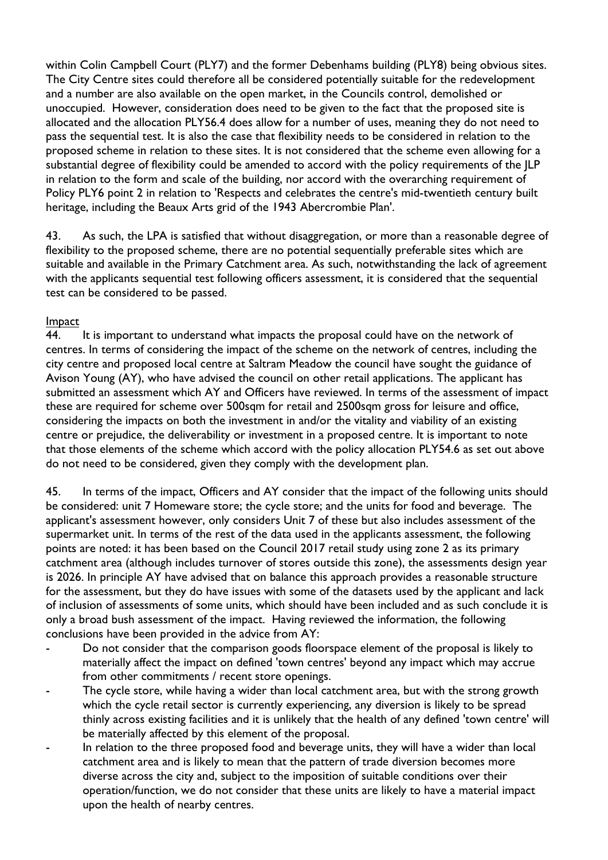within Colin Campbell Court (PLY7) and the former Debenhams building (PLY8) being obvious sites. The City Centre sites could therefore all be considered potentially suitable for the redevelopment and a number are also available on the open market, in the Councils control, demolished or unoccupied. However, consideration does need to be given to the fact that the proposed site is allocated and the allocation PLY56.4 does allow for a number of uses, meaning they do not need to pass the sequential test. It is also the case that flexibility needs to be considered in relation to the proposed scheme in relation to these sites. It is not considered that the scheme even allowing for a substantial degree of flexibility could be amended to accord with the policy requirements of the JLP in relation to the form and scale of the building, nor accord with the overarching requirement of Policy PLY6 point 2 in relation to 'Respects and celebrates the centre's mid-twentieth century built heritage, including the Beaux Arts grid of the 1943 Abercrombie Plan'.

43. As such, the LPA is satisfied that without disaggregation, or more than a reasonable degree of flexibility to the proposed scheme, there are no potential sequentially preferable sites which are suitable and available in the Primary Catchment area. As such, notwithstanding the lack of agreement with the applicants sequential test following officers assessment, it is considered that the sequential test can be considered to be passed.

### Impact

44. It is important to understand what impacts the proposal could have on the network of centres. In terms of considering the impact of the scheme on the network of centres, including the city centre and proposed local centre at Saltram Meadow the council have sought the guidance of Avison Young (AY), who have advised the council on other retail applications. The applicant has submitted an assessment which AY and Officers have reviewed. In terms of the assessment of impact these are required for scheme over 500sqm for retail and 2500sqm gross for leisure and office, considering the impacts on both the investment in and/or the vitality and viability of an existing centre or prejudice, the deliverability or investment in a proposed centre. It is important to note that those elements of the scheme which accord with the policy allocation PLY54.6 as set out above do not need to be considered, given they comply with the development plan.

45. In terms of the impact, Officers and AY consider that the impact of the following units should be considered: unit 7 Homeware store; the cycle store; and the units for food and beverage. The applicant's assessment however, only considers Unit 7 of these but also includes assessment of the supermarket unit. In terms of the rest of the data used in the applicants assessment, the following points are noted: it has been based on the Council 2017 retail study using zone 2 as its primary catchment area (although includes turnover of stores outside this zone), the assessments design year is 2026. In principle AY have advised that on balance this approach provides a reasonable structure for the assessment, but they do have issues with some of the datasets used by the applicant and lack of inclusion of assessments of some units, which should have been included and as such conclude it is only a broad bush assessment of the impact. Having reviewed the information, the following conclusions have been provided in the advice from AY:

- Do not consider that the comparison goods floorspace element of the proposal is likely to materially affect the impact on defined 'town centres' beyond any impact which may accrue from other commitments / recent store openings.
- The cycle store, while having a wider than local catchment area, but with the strong growth which the cycle retail sector is currently experiencing, any diversion is likely to be spread thinly across existing facilities and it is unlikely that the health of any defined 'town centre' will be materially affected by this element of the proposal.
- In relation to the three proposed food and beverage units, they will have a wider than local catchment area and is likely to mean that the pattern of trade diversion becomes more diverse across the city and, subject to the imposition of suitable conditions over their operation/function, we do not consider that these units are likely to have a material impact upon the health of nearby centres.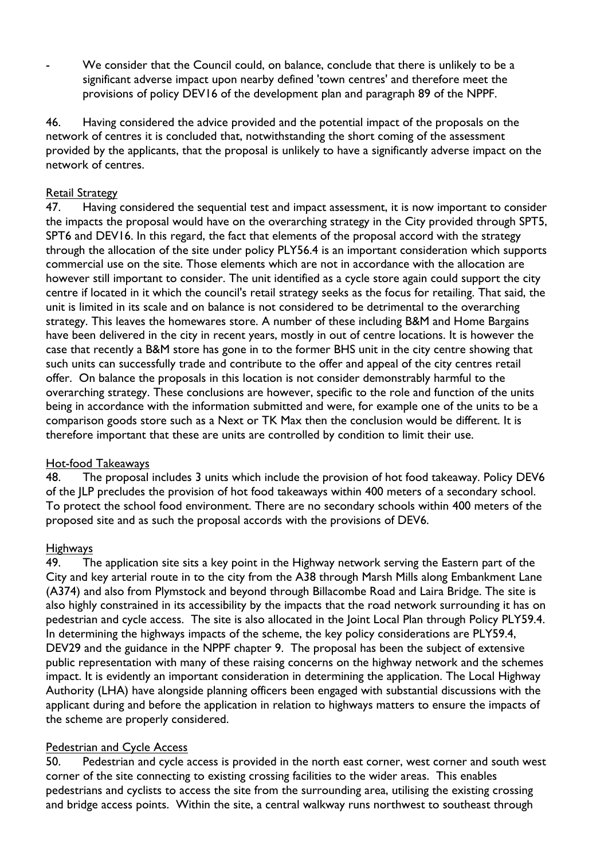We consider that the Council could, on balance, conclude that there is unlikely to be a significant adverse impact upon nearby defined 'town centres' and therefore meet the provisions of policy DEV16 of the development plan and paragraph 89 of the NPPF.

46. Having considered the advice provided and the potential impact of the proposals on the network of centres it is concluded that, notwithstanding the short coming of the assessment provided by the applicants, that the proposal is unlikely to have a significantly adverse impact on the network of centres.

### Retail Strategy

47. Having considered the sequential test and impact assessment, it is now important to consider the impacts the proposal would have on the overarching strategy in the City provided through SPT5, SPT6 and DEV16. In this regard, the fact that elements of the proposal accord with the strategy through the allocation of the site under policy PLY56.4 is an important consideration which supports commercial use on the site. Those elements which are not in accordance with the allocation are however still important to consider. The unit identified as a cycle store again could support the city centre if located in it which the council's retail strategy seeks as the focus for retailing. That said, the unit is limited in its scale and on balance is not considered to be detrimental to the overarching strategy. This leaves the homewares store. A number of these including B&M and Home Bargains have been delivered in the city in recent years, mostly in out of centre locations. It is however the case that recently a B&M store has gone in to the former BHS unit in the city centre showing that such units can successfully trade and contribute to the offer and appeal of the city centres retail offer. On balance the proposals in this location is not consider demonstrably harmful to the overarching strategy. These conclusions are however, specific to the role and function of the units being in accordance with the information submitted and were, for example one of the units to be a comparison goods store such as a Next or TK Max then the conclusion would be different. It is therefore important that these are units are controlled by condition to limit their use.

### Hot-food Takeaways

48. The proposal includes 3 units which include the provision of hot food takeaway. Policy DEV6 of the JLP precludes the provision of hot food takeaways within 400 meters of a secondary school. To protect the school food environment. There are no secondary schools within 400 meters of the proposed site and as such the proposal accords with the provisions of DEV6.

#### Highways

49. The application site sits a key point in the Highway network serving the Eastern part of the City and key arterial route in to the city from the A38 through Marsh Mills along Embankment Lane (A374) and also from Plymstock and beyond through Billacombe Road and Laira Bridge. The site is also highly constrained in its accessibility by the impacts that the road network surrounding it has on pedestrian and cycle access. The site is also allocated in the Joint Local Plan through Policy PLY59.4. In determining the highways impacts of the scheme, the key policy considerations are PLY59.4, DEV29 and the guidance in the NPPF chapter 9. The proposal has been the subject of extensive public representation with many of these raising concerns on the highway network and the schemes impact. It is evidently an important consideration in determining the application. The Local Highway Authority (LHA) have alongside planning officers been engaged with substantial discussions with the applicant during and before the application in relation to highways matters to ensure the impacts of the scheme are properly considered.

### Pedestrian and Cycle Access

50. Pedestrian and cycle access is provided in the north east corner, west corner and south west corner of the site connecting to existing crossing facilities to the wider areas. This enables pedestrians and cyclists to access the site from the surrounding area, utilising the existing crossing and bridge access points. Within the site, a central walkway runs northwest to southeast through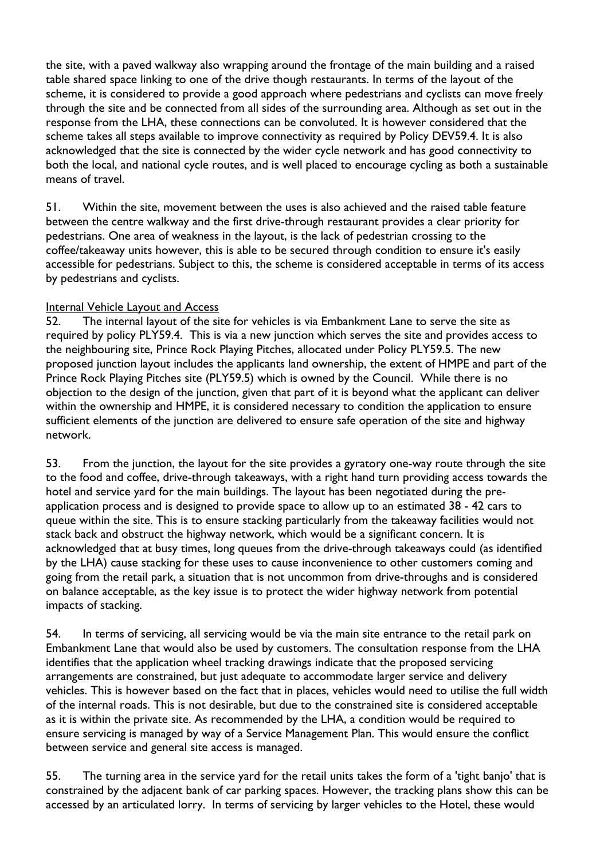the site, with a paved walkway also wrapping around the frontage of the main building and a raised table shared space linking to one of the drive though restaurants. In terms of the layout of the scheme, it is considered to provide a good approach where pedestrians and cyclists can move freely through the site and be connected from all sides of the surrounding area. Although as set out in the response from the LHA, these connections can be convoluted. It is however considered that the scheme takes all steps available to improve connectivity as required by Policy DEV59.4. It is also acknowledged that the site is connected by the wider cycle network and has good connectivity to both the local, and national cycle routes, and is well placed to encourage cycling as both a sustainable means of travel.

51. Within the site, movement between the uses is also achieved and the raised table feature between the centre walkway and the first drive-through restaurant provides a clear priority for pedestrians. One area of weakness in the layout, is the lack of pedestrian crossing to the coffee/takeaway units however, this is able to be secured through condition to ensure it's easily accessible for pedestrians. Subject to this, the scheme is considered acceptable in terms of its access by pedestrians and cyclists.

### Internal Vehicle Layout and Access

52. The internal layout of the site for vehicles is via Embankment Lane to serve the site as required by policy PLY59.4. This is via a new junction which serves the site and provides access to the neighbouring site, Prince Rock Playing Pitches, allocated under Policy PLY59.5. The new proposed junction layout includes the applicants land ownership, the extent of HMPE and part of the Prince Rock Playing Pitches site (PLY59.5) which is owned by the Council. While there is no objection to the design of the junction, given that part of it is beyond what the applicant can deliver within the ownership and HMPE, it is considered necessary to condition the application to ensure sufficient elements of the junction are delivered to ensure safe operation of the site and highway network.

53. From the junction, the layout for the site provides a gyratory one-way route through the site to the food and coffee, drive-through takeaways, with a right hand turn providing access towards the hotel and service yard for the main buildings. The layout has been negotiated during the preapplication process and is designed to provide space to allow up to an estimated 38 - 42 cars to queue within the site. This is to ensure stacking particularly from the takeaway facilities would not stack back and obstruct the highway network, which would be a significant concern. It is acknowledged that at busy times, long queues from the drive-through takeaways could (as identified by the LHA) cause stacking for these uses to cause inconvenience to other customers coming and going from the retail park, a situation that is not uncommon from drive-throughs and is considered on balance acceptable, as the key issue is to protect the wider highway network from potential impacts of stacking.

54. In terms of servicing, all servicing would be via the main site entrance to the retail park on Embankment Lane that would also be used by customers. The consultation response from the LHA identifies that the application wheel tracking drawings indicate that the proposed servicing arrangements are constrained, but just adequate to accommodate larger service and delivery vehicles. This is however based on the fact that in places, vehicles would need to utilise the full width of the internal roads. This is not desirable, but due to the constrained site is considered acceptable as it is within the private site. As recommended by the LHA, a condition would be required to ensure servicing is managed by way of a Service Management Plan. This would ensure the conflict between service and general site access is managed.

55. The turning area in the service yard for the retail units takes the form of a 'tight banjo' that is constrained by the adjacent bank of car parking spaces. However, the tracking plans show this can be accessed by an articulated lorry. In terms of servicing by larger vehicles to the Hotel, these would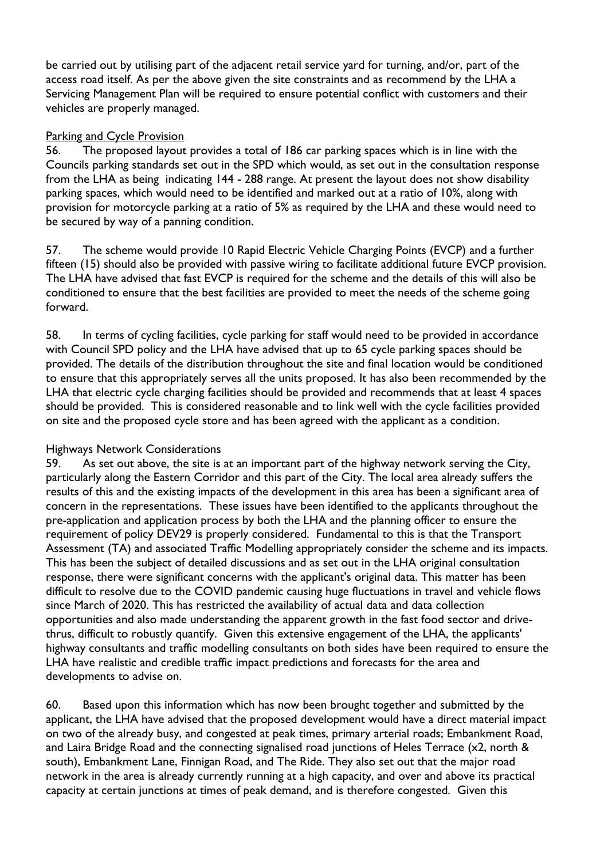be carried out by utilising part of the adjacent retail service yard for turning, and/or, part of the access road itself. As per the above given the site constraints and as recommend by the LHA a Servicing Management Plan will be required to ensure potential conflict with customers and their vehicles are properly managed.

### Parking and Cycle Provision

56. The proposed layout provides a total of 186 car parking spaces which is in line with the Councils parking standards set out in the SPD which would, as set out in the consultation response from the LHA as being indicating 144 - 288 range. At present the layout does not show disability parking spaces, which would need to be identified and marked out at a ratio of 10%, along with provision for motorcycle parking at a ratio of 5% as required by the LHA and these would need to be secured by way of a panning condition.

57. The scheme would provide 10 Rapid Electric Vehicle Charging Points (EVCP) and a further fifteen (15) should also be provided with passive wiring to facilitate additional future EVCP provision. The LHA have advised that fast EVCP is required for the scheme and the details of this will also be conditioned to ensure that the best facilities are provided to meet the needs of the scheme going forward.

58. In terms of cycling facilities, cycle parking for staff would need to be provided in accordance with Council SPD policy and the LHA have advised that up to 65 cycle parking spaces should be provided. The details of the distribution throughout the site and final location would be conditioned to ensure that this appropriately serves all the units proposed. It has also been recommended by the LHA that electric cycle charging facilities should be provided and recommends that at least 4 spaces should be provided. This is considered reasonable and to link well with the cycle facilities provided on site and the proposed cycle store and has been agreed with the applicant as a condition.

### Highways Network Considerations

59. As set out above, the site is at an important part of the highway network serving the City, particularly along the Eastern Corridor and this part of the City. The local area already suffers the results of this and the existing impacts of the development in this area has been a significant area of concern in the representations. These issues have been identified to the applicants throughout the pre-application and application process by both the LHA and the planning officer to ensure the requirement of policy DEV29 is properly considered. Fundamental to this is that the Transport Assessment (TA) and associated Traffic Modelling appropriately consider the scheme and its impacts. This has been the subject of detailed discussions and as set out in the LHA original consultation response, there were significant concerns with the applicant's original data. This matter has been difficult to resolve due to the COVID pandemic causing huge fluctuations in travel and vehicle flows since March of 2020. This has restricted the availability of actual data and data collection opportunities and also made understanding the apparent growth in the fast food sector and drivethrus, difficult to robustly quantify. Given this extensive engagement of the LHA, the applicants' highway consultants and traffic modelling consultants on both sides have been required to ensure the LHA have realistic and credible traffic impact predictions and forecasts for the area and developments to advise on.

60. Based upon this information which has now been brought together and submitted by the applicant, the LHA have advised that the proposed development would have a direct material impact on two of the already busy, and congested at peak times, primary arterial roads; Embankment Road, and Laira Bridge Road and the connecting signalised road junctions of Heles Terrace (x2, north & south), Embankment Lane, Finnigan Road, and The Ride. They also set out that the major road network in the area is already currently running at a high capacity, and over and above its practical capacity at certain junctions at times of peak demand, and is therefore congested. Given this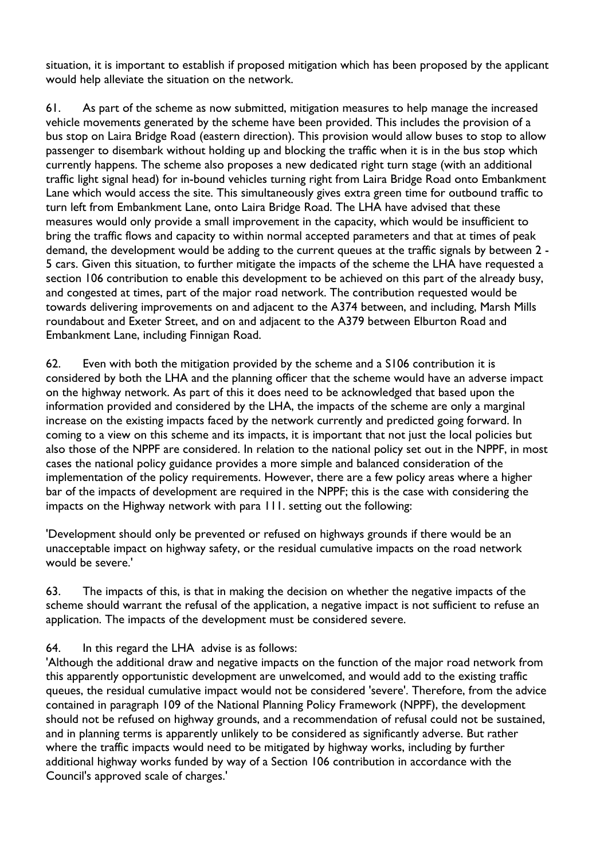situation, it is important to establish if proposed mitigation which has been proposed by the applicant would help alleviate the situation on the network.

61. As part of the scheme as now submitted, mitigation measures to help manage the increased vehicle movements generated by the scheme have been provided. This includes the provision of a bus stop on Laira Bridge Road (eastern direction). This provision would allow buses to stop to allow passenger to disembark without holding up and blocking the traffic when it is in the bus stop which currently happens. The scheme also proposes a new dedicated right turn stage (with an additional traffic light signal head) for in-bound vehicles turning right from Laira Bridge Road onto Embankment Lane which would access the site. This simultaneously gives extra green time for outbound traffic to turn left from Embankment Lane, onto Laira Bridge Road. The LHA have advised that these measures would only provide a small improvement in the capacity, which would be insufficient to bring the traffic flows and capacity to within normal accepted parameters and that at times of peak demand, the development would be adding to the current queues at the traffic signals by between 2 - 5 cars. Given this situation, to further mitigate the impacts of the scheme the LHA have requested a section 106 contribution to enable this development to be achieved on this part of the already busy, and congested at times, part of the major road network. The contribution requested would be towards delivering improvements on and adjacent to the A374 between, and including, Marsh Mills roundabout and Exeter Street, and on and adjacent to the A379 between Elburton Road and Embankment Lane, including Finnigan Road.

62. Even with both the mitigation provided by the scheme and a S106 contribution it is considered by both the LHA and the planning officer that the scheme would have an adverse impact on the highway network. As part of this it does need to be acknowledged that based upon the information provided and considered by the LHA, the impacts of the scheme are only a marginal increase on the existing impacts faced by the network currently and predicted going forward. In coming to a view on this scheme and its impacts, it is important that not just the local policies but also those of the NPPF are considered. In relation to the national policy set out in the NPPF, in most cases the national policy guidance provides a more simple and balanced consideration of the implementation of the policy requirements. However, there are a few policy areas where a higher bar of the impacts of development are required in the NPPF; this is the case with considering the impacts on the Highway network with para 111. setting out the following:

'Development should only be prevented or refused on highways grounds if there would be an unacceptable impact on highway safety, or the residual cumulative impacts on the road network would be severe.'

63. The impacts of this, is that in making the decision on whether the negative impacts of the scheme should warrant the refusal of the application, a negative impact is not sufficient to refuse an application. The impacts of the development must be considered severe.

# 64. In this regard the LHA advise is as follows:

'Although the additional draw and negative impacts on the function of the major road network from this apparently opportunistic development are unwelcomed, and would add to the existing traffic queues, the residual cumulative impact would not be considered 'severe'. Therefore, from the advice contained in paragraph 109 of the National Planning Policy Framework (NPPF), the development should not be refused on highway grounds, and a recommendation of refusal could not be sustained, and in planning terms is apparently unlikely to be considered as significantly adverse. But rather where the traffic impacts would need to be mitigated by highway works, including by further additional highway works funded by way of a Section 106 contribution in accordance with the Council's approved scale of charges.'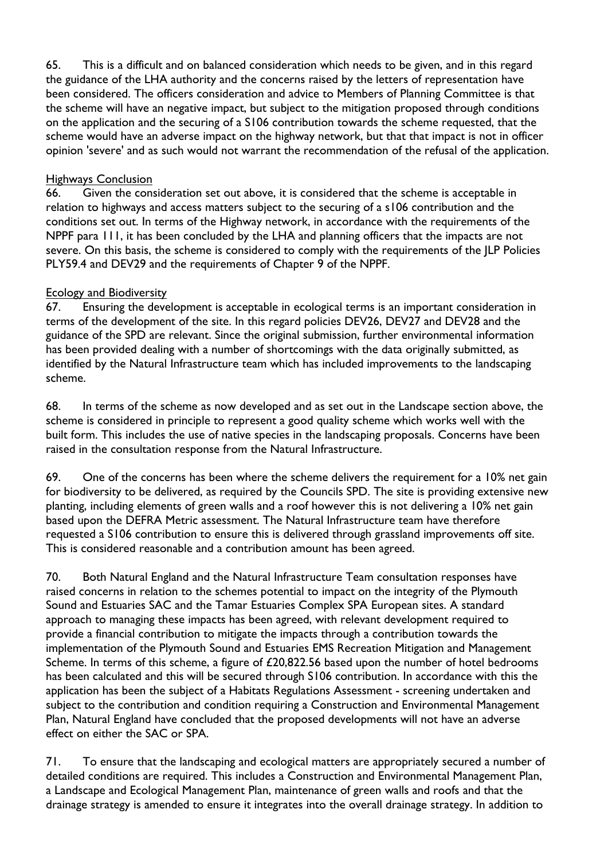65. This is a difficult and on balanced consideration which needs to be given, and in this regard the guidance of the LHA authority and the concerns raised by the letters of representation have been considered. The officers consideration and advice to Members of Planning Committee is that the scheme will have an negative impact, but subject to the mitigation proposed through conditions on the application and the securing of a S106 contribution towards the scheme requested, that the scheme would have an adverse impact on the highway network, but that that impact is not in officer opinion 'severe' and as such would not warrant the recommendation of the refusal of the application.

### Highways Conclusion

66. Given the consideration set out above, it is considered that the scheme is acceptable in relation to highways and access matters subject to the securing of a s106 contribution and the conditions set out. In terms of the Highway network, in accordance with the requirements of the NPPF para 111, it has been concluded by the LHA and planning officers that the impacts are not severe. On this basis, the scheme is considered to comply with the requirements of the JLP Policies PLY59.4 and DEV29 and the requirements of Chapter 9 of the NPPF.

# Ecology and Biodiversity

67. Ensuring the development is acceptable in ecological terms is an important consideration in terms of the development of the site. In this regard policies DEV26, DEV27 and DEV28 and the guidance of the SPD are relevant. Since the original submission, further environmental information has been provided dealing with a number of shortcomings with the data originally submitted, as identified by the Natural Infrastructure team which has included improvements to the landscaping scheme.

68. In terms of the scheme as now developed and as set out in the Landscape section above, the scheme is considered in principle to represent a good quality scheme which works well with the built form. This includes the use of native species in the landscaping proposals. Concerns have been raised in the consultation response from the Natural Infrastructure.

69. One of the concerns has been where the scheme delivers the requirement for a 10% net gain for biodiversity to be delivered, as required by the Councils SPD. The site is providing extensive new planting, including elements of green walls and a roof however this is not delivering a 10% net gain based upon the DEFRA Metric assessment. The Natural Infrastructure team have therefore requested a S106 contribution to ensure this is delivered through grassland improvements off site. This is considered reasonable and a contribution amount has been agreed.

70. Both Natural England and the Natural Infrastructure Team consultation responses have raised concerns in relation to the schemes potential to impact on the integrity of the Plymouth Sound and Estuaries SAC and the Tamar Estuaries Complex SPA European sites. A standard approach to managing these impacts has been agreed, with relevant development required to provide a financial contribution to mitigate the impacts through a contribution towards the implementation of the Plymouth Sound and Estuaries EMS Recreation Mitigation and Management Scheme. In terms of this scheme, a figure of £20,822.56 based upon the number of hotel bedrooms has been calculated and this will be secured through S106 contribution. In accordance with this the application has been the subject of a Habitats Regulations Assessment - screening undertaken and subject to the contribution and condition requiring a Construction and Environmental Management Plan, Natural England have concluded that the proposed developments will not have an adverse effect on either the SAC or SPA.

71. To ensure that the landscaping and ecological matters are appropriately secured a number of detailed conditions are required. This includes a Construction and Environmental Management Plan, a Landscape and Ecological Management Plan, maintenance of green walls and roofs and that the drainage strategy is amended to ensure it integrates into the overall drainage strategy. In addition to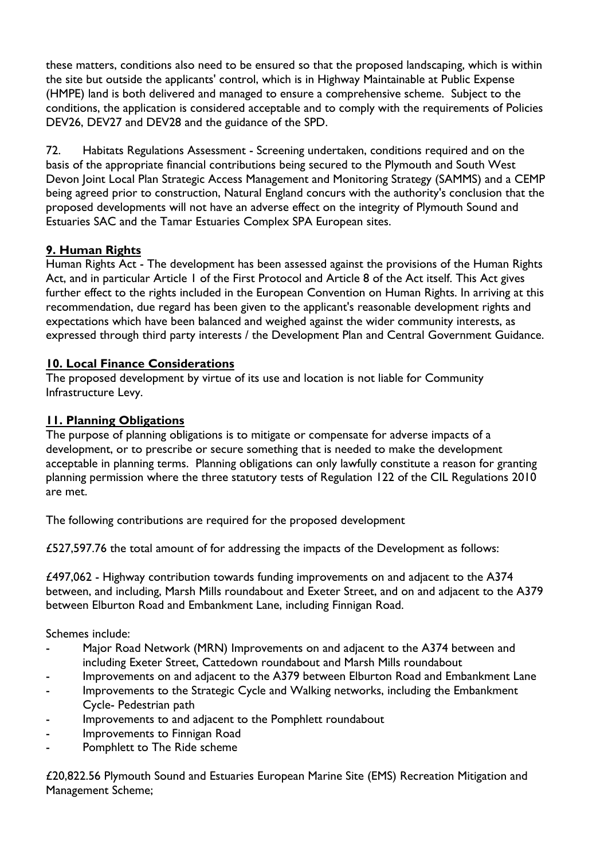these matters, conditions also need to be ensured so that the proposed landscaping, which is within the site but outside the applicants' control, which is in Highway Maintainable at Public Expense (HMPE) land is both delivered and managed to ensure a comprehensive scheme. Subject to the conditions, the application is considered acceptable and to comply with the requirements of Policies DEV26, DEV27 and DEV28 and the guidance of the SPD.

72. Habitats Regulations Assessment - Screening undertaken, conditions required and on the basis of the appropriate financial contributions being secured to the Plymouth and South West Devon Joint Local Plan Strategic Access Management and Monitoring Strategy (SAMMS) and a CEMP being agreed prior to construction, Natural England concurs with the authority's conclusion that the proposed developments will not have an adverse effect on the integrity of Plymouth Sound and Estuaries SAC and the Tamar Estuaries Complex SPA European sites.

# **9. Human Rights**

Human Rights Act - The development has been assessed against the provisions of the Human Rights Act, and in particular Article 1 of the First Protocol and Article 8 of the Act itself. This Act gives further effect to the rights included in the European Convention on Human Rights. In arriving at this recommendation, due regard has been given to the applicant's reasonable development rights and expectations which have been balanced and weighed against the wider community interests, as expressed through third party interests / the Development Plan and Central Government Guidance.

# **10. Local Finance Considerations**

The proposed development by virtue of its use and location is not liable for Community Infrastructure Levy.

# **11. Planning Obligations**

The purpose of planning obligations is to mitigate or compensate for adverse impacts of a development, or to prescribe or secure something that is needed to make the development acceptable in planning terms. Planning obligations can only lawfully constitute a reason for granting planning permission where the three statutory tests of Regulation 122 of the CIL Regulations 2010 are met.

The following contributions are required for the proposed development

£527,597.76 the total amount of for addressing the impacts of the Development as follows:

£497,062 - Highway contribution towards funding improvements on and adjacent to the A374 between, and including, Marsh Mills roundabout and Exeter Street, and on and adjacent to the A379 between Elburton Road and Embankment Lane, including Finnigan Road.

Schemes include:

- Major Road Network (MRN) Improvements on and adjacent to the A374 between and including Exeter Street, Cattedown roundabout and Marsh Mills roundabout
- Improvements on and adjacent to the A379 between Elburton Road and Embankment Lane
- Improvements to the Strategic Cycle and Walking networks, including the Embankment Cycle- Pedestrian path
- Improvements to and adjacent to the Pomphlett roundabout
- Improvements to Finnigan Road
- Pomphlett to The Ride scheme

£20,822.56 Plymouth Sound and Estuaries European Marine Site (EMS) Recreation Mitigation and Management Scheme;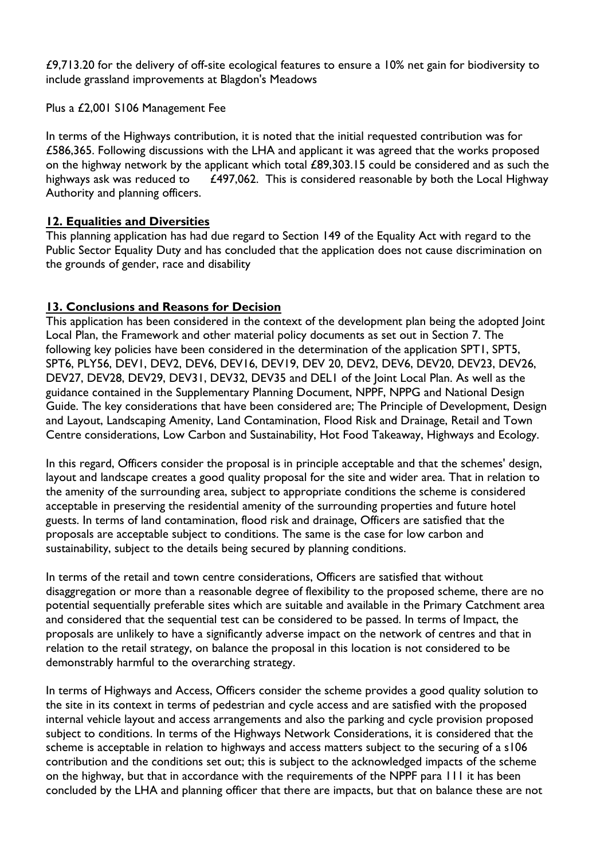£9,713.20 for the delivery of off-site ecological features to ensure a 10% net gain for biodiversity to include grassland improvements at Blagdon's Meadows

Plus a £2,001 S106 Management Fee

In terms of the Highways contribution, it is noted that the initial requested contribution was for £586,365. Following discussions with the LHA and applicant it was agreed that the works proposed on the highway network by the applicant which total £89,303.15 could be considered and as such the highways ask was reduced to  $£497,062$ . This is considered reasonable by both the Local Highway Authority and planning officers.

# **12. Equalities and Diversities**

This planning application has had due regard to Section 149 of the Equality Act with regard to the Public Sector Equality Duty and has concluded that the application does not cause discrimination on the grounds of gender, race and disability

# **13. Conclusions and Reasons for Decision**

This application has been considered in the context of the development plan being the adopted Joint Local Plan, the Framework and other material policy documents as set out in Section 7. The following key policies have been considered in the determination of the application SPT1, SPT5, SPT6, PLY56, DEV1, DEV2, DEV6, DEV16, DEV19, DEV 20, DEV2, DEV6, DEV20, DEV23, DEV26, DEV27, DEV28, DEV29, DEV31, DEV32, DEV35 and DEL1 of the Joint Local Plan. As well as the guidance contained in the Supplementary Planning Document, NPPF, NPPG and National Design Guide. The key considerations that have been considered are; The Principle of Development, Design and Layout, Landscaping Amenity, Land Contamination, Flood Risk and Drainage, Retail and Town Centre considerations, Low Carbon and Sustainability, Hot Food Takeaway, Highways and Ecology.

In this regard, Officers consider the proposal is in principle acceptable and that the schemes' design, layout and landscape creates a good quality proposal for the site and wider area. That in relation to the amenity of the surrounding area, subject to appropriate conditions the scheme is considered acceptable in preserving the residential amenity of the surrounding properties and future hotel guests. In terms of land contamination, flood risk and drainage, Officers are satisfied that the proposals are acceptable subject to conditions. The same is the case for low carbon and sustainability, subject to the details being secured by planning conditions.

In terms of the retail and town centre considerations, Officers are satisfied that without disaggregation or more than a reasonable degree of flexibility to the proposed scheme, there are no potential sequentially preferable sites which are suitable and available in the Primary Catchment area and considered that the sequential test can be considered to be passed. In terms of Impact, the proposals are unlikely to have a significantly adverse impact on the network of centres and that in relation to the retail strategy, on balance the proposal in this location is not considered to be demonstrably harmful to the overarching strategy.

In terms of Highways and Access, Officers consider the scheme provides a good quality solution to the site in its context in terms of pedestrian and cycle access and are satisfied with the proposed internal vehicle layout and access arrangements and also the parking and cycle provision proposed subject to conditions. In terms of the Highways Network Considerations, it is considered that the scheme is acceptable in relation to highways and access matters subject to the securing of a s106 contribution and the conditions set out; this is subject to the acknowledged impacts of the scheme on the highway, but that in accordance with the requirements of the NPPF para 111 it has been concluded by the LHA and planning officer that there are impacts, but that on balance these are not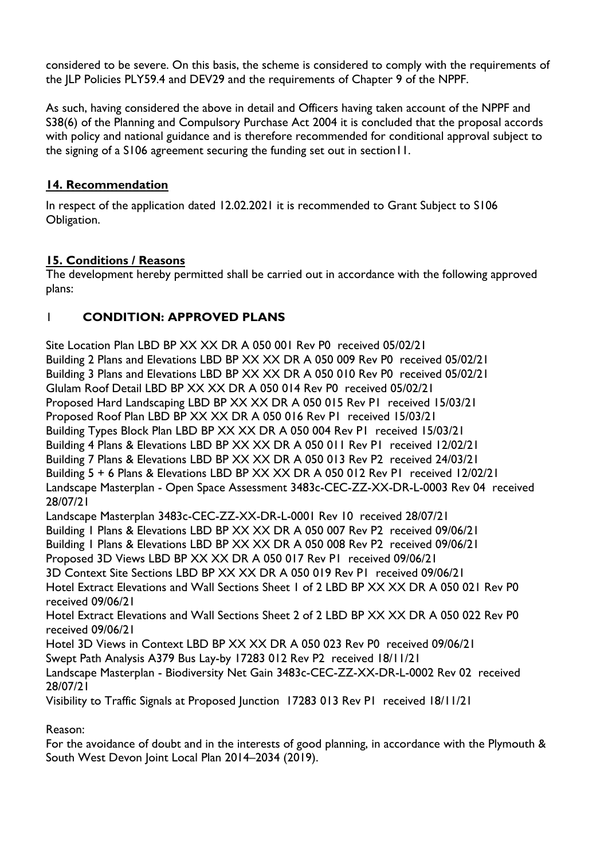considered to be severe. On this basis, the scheme is considered to comply with the requirements of the JLP Policies PLY59.4 and DEV29 and the requirements of Chapter 9 of the NPPF.

As such, having considered the above in detail and Officers having taken account of the NPPF and S38(6) of the Planning and Compulsory Purchase Act 2004 it is concluded that the proposal accords with policy and national guidance and is therefore recommended for conditional approval subject to the signing of a S106 agreement securing the funding set out in section11.

# **14. Recommendation**

In respect of the application dated 12.02.2021 it is recommended to Grant Subject to S106 Obligation.

# **15. Conditions / Reasons**

The development hereby permitted shall be carried out in accordance with the following approved plans:

# 1 **CONDITION: APPROVED PLANS**

Site Location Plan LBD BP XX XX DR A 050 001 Rev P0 received 05/02/21 Building 2 Plans and Elevations LBD BP XX XX DR A 050 009 Rev P0 received 05/02/21 Building 3 Plans and Elevations LBD BP XX XX DR A 050 010 Rev P0 received 05/02/21 Glulam Roof Detail LBD BP XX XX DR A 050 014 Rev P0 received 05/02/21 Proposed Hard Landscaping LBD BP XX XX DR A 050 015 Rev P1 received 15/03/21 Proposed Roof Plan LBD BP XX XX DR A 050 016 Rev P1 received 15/03/21 Building Types Block Plan LBD BP XX XX DR A 050 004 Rev P1 received 15/03/21 Building 4 Plans & Elevations LBD BP XX XX DR A 050 011 Rev P1 received 12/02/21 Building 7 Plans & Elevations LBD BP XX XX DR A 050 013 Rev P2 received 24/03/21 Building 5 + 6 Plans & Elevations LBD BP XX XX DR A 050 012 Rev P1 received 12/02/21 Landscape Masterplan - Open Space Assessment 3483c-CEC-ZZ-XX-DR-L-0003 Rev 04 received 28/07/21 Landscape Masterplan 3483c-CEC-ZZ-XX-DR-L-0001 Rev 10 received 28/07/21 Building 1 Plans & Elevations LBD BP XX XX DR A 050 007 Rev P2 received 09/06/21 Building 1 Plans & Elevations LBD BP XX XX DR A 050 008 Rev P2 received 09/06/21 Proposed 3D Views LBD BP XX XX DR A 050 017 Rev P1 received 09/06/21 3D Context Site Sections LBD BP XX XX DR A 050 019 Rev P1 received 09/06/21 Hotel Extract Elevations and Wall Sections Sheet 1 of 2 LBD BP XX XX DR A 050 021 Rev P0 received 09/06/21 Hotel Extract Elevations and Wall Sections Sheet 2 of 2 LBD BP XX XX DR A 050 022 Rev P0 received 09/06/21 Hotel 3D Views in Context LBD BP XX XX DR A 050 023 Rev P0 received 09/06/21 Swept Path Analysis A379 Bus Lay-by 17283 012 Rev P2 received 18/11/21 Landscape Masterplan - Biodiversity Net Gain 3483c-CEC-ZZ-XX-DR-L-0002 Rev 02 received 28/07/21 Visibility to Traffic Signals at Proposed Junction 17283 013 Rev P1 received 18/11/21

Reason:

For the avoidance of doubt and in the interests of good planning, in accordance with the Plymouth & South West Devon Joint Local Plan 2014–2034 (2019).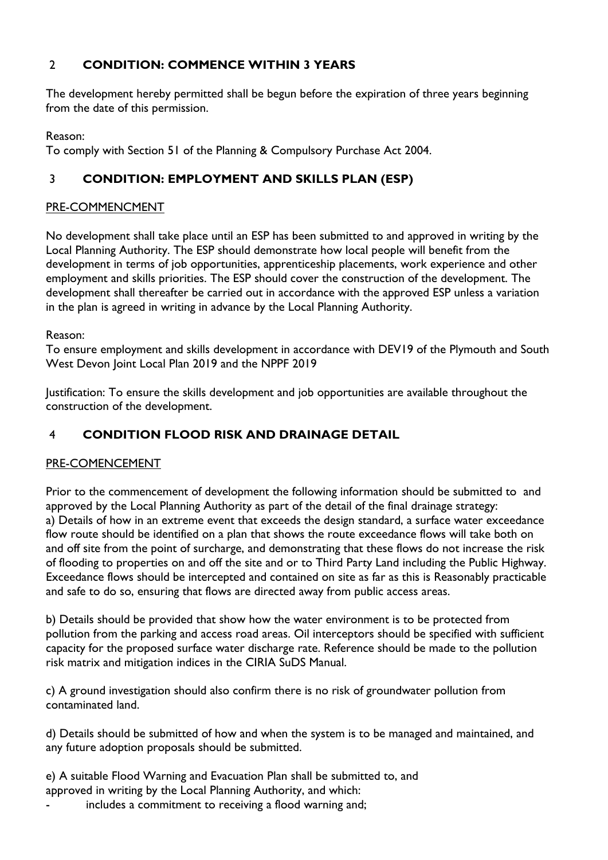# 2 **CONDITION: COMMENCE WITHIN 3 YEARS**

The development hereby permitted shall be begun before the expiration of three years beginning from the date of this permission.

Reason:

To comply with Section 51 of the Planning & Compulsory Purchase Act 2004.

# 3 **CONDITION: EMPLOYMENT AND SKILLS PLAN (ESP)**

### PRE-COMMENCMENT

No development shall take place until an ESP has been submitted to and approved in writing by the Local Planning Authority. The ESP should demonstrate how local people will benefit from the development in terms of job opportunities, apprenticeship placements, work experience and other employment and skills priorities. The ESP should cover the construction of the development. The development shall thereafter be carried out in accordance with the approved ESP unless a variation in the plan is agreed in writing in advance by the Local Planning Authority.

Reason:

To ensure employment and skills development in accordance with DEV19 of the Plymouth and South West Devon Joint Local Plan 2019 and the NPPF 2019

Justification: To ensure the skills development and job opportunities are available throughout the construction of the development.

# 4 **CONDITION FLOOD RISK AND DRAINAGE DETAIL**

### PRE-COMENCEMENT

Prior to the commencement of development the following information should be submitted to and approved by the Local Planning Authority as part of the detail of the final drainage strategy: a) Details of how in an extreme event that exceeds the design standard, a surface water exceedance flow route should be identified on a plan that shows the route exceedance flows will take both on and off site from the point of surcharge, and demonstrating that these flows do not increase the risk of flooding to properties on and off the site and or to Third Party Land including the Public Highway. Exceedance flows should be intercepted and contained on site as far as this is Reasonably practicable and safe to do so, ensuring that flows are directed away from public access areas.

b) Details should be provided that show how the water environment is to be protected from pollution from the parking and access road areas. Oil interceptors should be specified with sufficient capacity for the proposed surface water discharge rate. Reference should be made to the pollution risk matrix and mitigation indices in the CIRIA SuDS Manual.

c) A ground investigation should also confirm there is no risk of groundwater pollution from contaminated land.

d) Details should be submitted of how and when the system is to be managed and maintained, and any future adoption proposals should be submitted.

e) A suitable Flood Warning and Evacuation Plan shall be submitted to, and approved in writing by the Local Planning Authority, and which:

includes a commitment to receiving a flood warning and;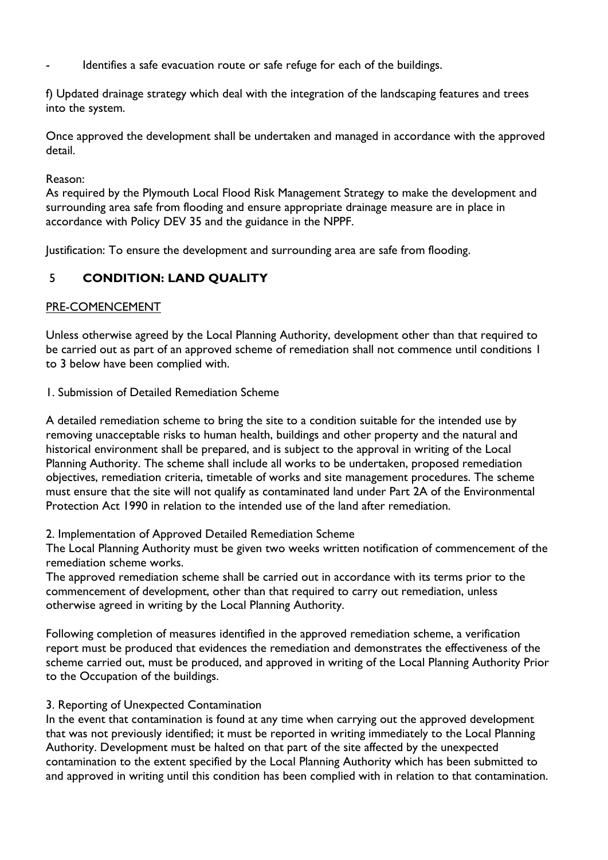Identifies a safe evacuation route or safe refuge for each of the buildings.

f) Updated drainage strategy which deal with the integration of the landscaping features and trees into the system.

Once approved the development shall be undertaken and managed in accordance with the approved detail.

#### Reason:

As required by the Plymouth Local Flood Risk Management Strategy to make the development and surrounding area safe from flooding and ensure appropriate drainage measure are in place in accordance with Policy DEV 35 and the guidance in the NPPF.

Justification: To ensure the development and surrounding area are safe from flooding.

# 5 **CONDITION: LAND QUALITY**

### PRE-COMENCEMENT

Unless otherwise agreed by the Local Planning Authority, development other than that required to be carried out as part of an approved scheme of remediation shall not commence until conditions 1 to 3 below have been complied with.

1. Submission of Detailed Remediation Scheme

A detailed remediation scheme to bring the site to a condition suitable for the intended use by removing unacceptable risks to human health, buildings and other property and the natural and historical environment shall be prepared, and is subject to the approval in writing of the Local Planning Authority. The scheme shall include all works to be undertaken, proposed remediation objectives, remediation criteria, timetable of works and site management procedures. The scheme must ensure that the site will not qualify as contaminated land under Part 2A of the Environmental Protection Act 1990 in relation to the intended use of the land after remediation.

#### 2. Implementation of Approved Detailed Remediation Scheme

The Local Planning Authority must be given two weeks written notification of commencement of the remediation scheme works.

The approved remediation scheme shall be carried out in accordance with its terms prior to the commencement of development, other than that required to carry out remediation, unless otherwise agreed in writing by the Local Planning Authority.

Following completion of measures identified in the approved remediation scheme, a verification report must be produced that evidences the remediation and demonstrates the effectiveness of the scheme carried out, must be produced, and approved in writing of the Local Planning Authority Prior to the Occupation of the buildings.

#### 3. Reporting of Unexpected Contamination

In the event that contamination is found at any time when carrying out the approved development that was not previously identified; it must be reported in writing immediately to the Local Planning Authority. Development must be halted on that part of the site affected by the unexpected contamination to the extent specified by the Local Planning Authority which has been submitted to and approved in writing until this condition has been complied with in relation to that contamination.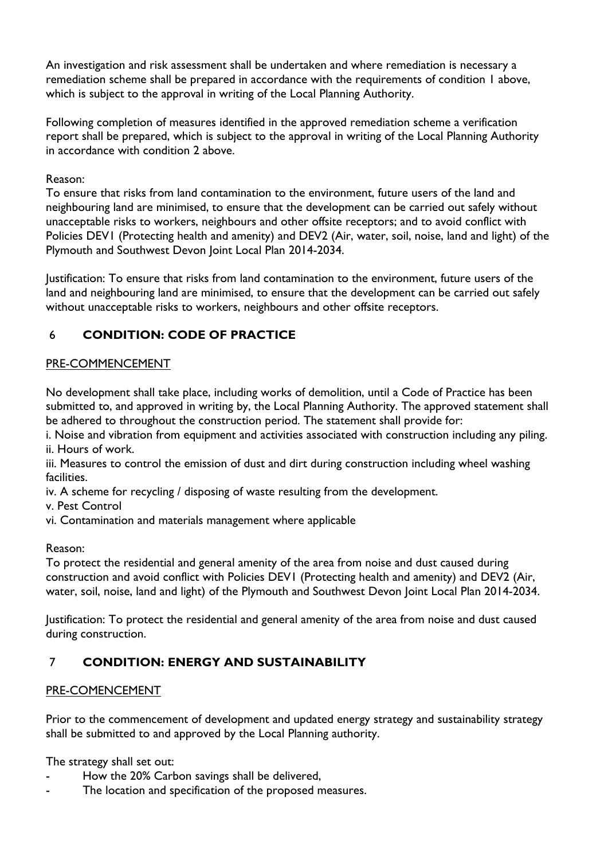An investigation and risk assessment shall be undertaken and where remediation is necessary a remediation scheme shall be prepared in accordance with the requirements of condition 1 above, which is subject to the approval in writing of the Local Planning Authority.

Following completion of measures identified in the approved remediation scheme a verification report shall be prepared, which is subject to the approval in writing of the Local Planning Authority in accordance with condition 2 above.

Reason:

To ensure that risks from land contamination to the environment, future users of the land and neighbouring land are minimised, to ensure that the development can be carried out safely without unacceptable risks to workers, neighbours and other offsite receptors; and to avoid conflict with Policies DEV1 (Protecting health and amenity) and DEV2 (Air, water, soil, noise, land and light) of the Plymouth and Southwest Devon Joint Local Plan 2014-2034.

Justification: To ensure that risks from land contamination to the environment, future users of the land and neighbouring land are minimised, to ensure that the development can be carried out safely without unacceptable risks to workers, neighbours and other offsite receptors.

# 6 **CONDITION: CODE OF PRACTICE**

### PRE-COMMENCEMENT

No development shall take place, including works of demolition, until a Code of Practice has been submitted to, and approved in writing by, the Local Planning Authority. The approved statement shall be adhered to throughout the construction period. The statement shall provide for:

i. Noise and vibration from equipment and activities associated with construction including any piling. ii. Hours of work.

iii. Measures to control the emission of dust and dirt during construction including wheel washing facilities.

iv. A scheme for recycling / disposing of waste resulting from the development.

v. Pest Control

vi. Contamination and materials management where applicable

Reason:

To protect the residential and general amenity of the area from noise and dust caused during construction and avoid conflict with Policies DEV1 (Protecting health and amenity) and DEV2 (Air, water, soil, noise, land and light) of the Plymouth and Southwest Devon Joint Local Plan 2014-2034.

Justification: To protect the residential and general amenity of the area from noise and dust caused during construction.

# 7 **CONDITION: ENERGY AND SUSTAINABILITY**

### PRE-COMENCEMENT

Prior to the commencement of development and updated energy strategy and sustainability strategy shall be submitted to and approved by the Local Planning authority.

The strategy shall set out:

- How the 20% Carbon savings shall be delivered,
- The location and specification of the proposed measures.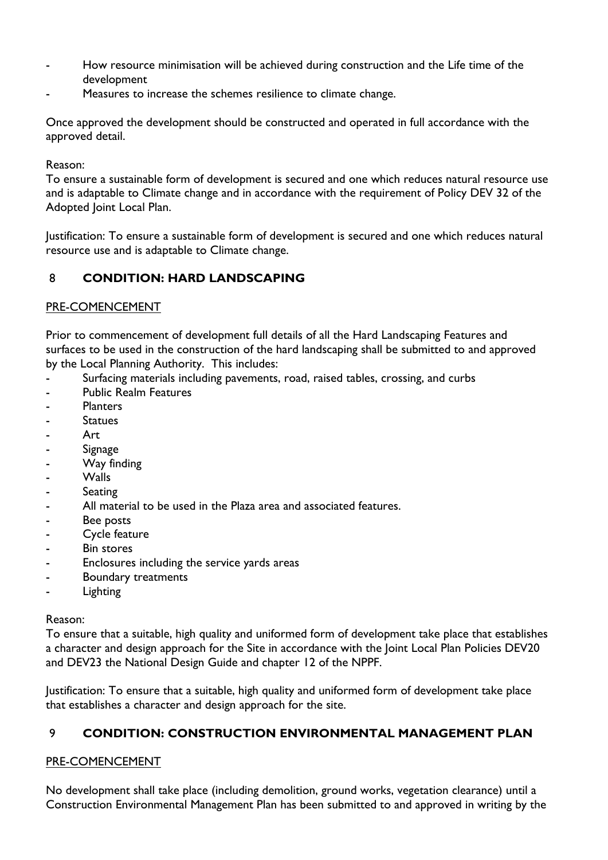- How resource minimisation will be achieved during construction and the Life time of the development
- Measures to increase the schemes resilience to climate change.

Once approved the development should be constructed and operated in full accordance with the approved detail.

Reason:

To ensure a sustainable form of development is secured and one which reduces natural resource use and is adaptable to Climate change and in accordance with the requirement of Policy DEV 32 of the Adopted Joint Local Plan.

Justification: To ensure a sustainable form of development is secured and one which reduces natural resource use and is adaptable to Climate change.

# 8 **CONDITION: HARD LANDSCAPING**

### PRE-COMENCEMENT

Prior to commencement of development full details of all the Hard Landscaping Features and surfaces to be used in the construction of the hard landscaping shall be submitted to and approved by the Local Planning Authority. This includes:

- Surfacing materials including pavements, road, raised tables, crossing, and curbs
- Public Realm Features
- **Planters**
- **Statues**
- Art.
- **Signage**
- Way finding
- Walls
- **Seating**
- All material to be used in the Plaza area and associated features.
- Bee posts
- Cycle feature
- Bin stores
- Enclosures including the service yards areas
- Boundary treatments
- Lighting

### Reason:

To ensure that a suitable, high quality and uniformed form of development take place that establishes a character and design approach for the Site in accordance with the Joint Local Plan Policies DEV20 and DEV23 the National Design Guide and chapter 12 of the NPPF.

Justification: To ensure that a suitable, high quality and uniformed form of development take place that establishes a character and design approach for the site.

# 9 **CONDITION: CONSTRUCTION ENVIRONMENTAL MANAGEMENT PLAN**

### PRE-COMENCEMENT

No development shall take place (including demolition, ground works, vegetation clearance) until a Construction Environmental Management Plan has been submitted to and approved in writing by the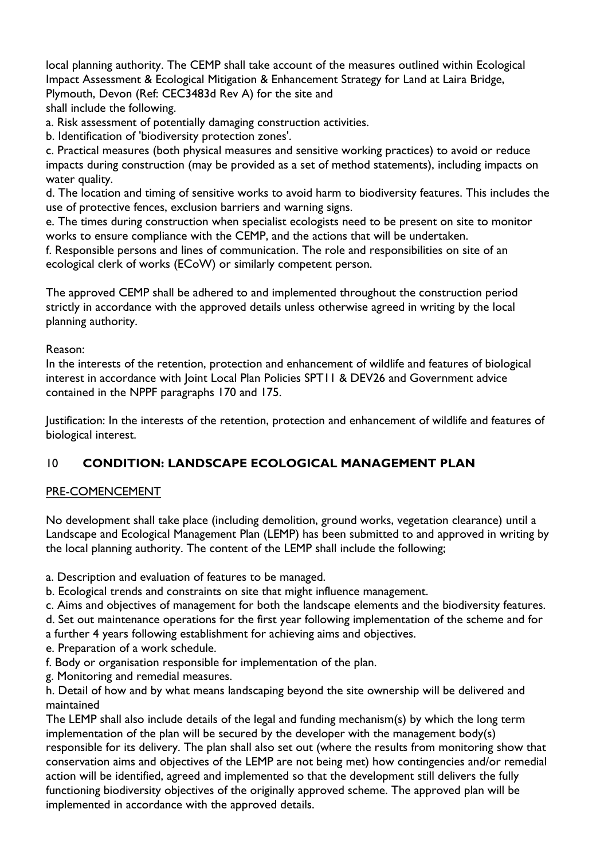local planning authority. The CEMP shall take account of the measures outlined within Ecological Impact Assessment & Ecological Mitigation & Enhancement Strategy for Land at Laira Bridge, Plymouth, Devon (Ref: CEC3483d Rev A) for the site and shall include the following.

a. Risk assessment of potentially damaging construction activities.

b. Identification of 'biodiversity protection zones'.

c. Practical measures (both physical measures and sensitive working practices) to avoid or reduce impacts during construction (may be provided as a set of method statements), including impacts on water quality.

d. The location and timing of sensitive works to avoid harm to biodiversity features. This includes the use of protective fences, exclusion barriers and warning signs.

e. The times during construction when specialist ecologists need to be present on site to monitor works to ensure compliance with the CEMP, and the actions that will be undertaken.

f. Responsible persons and lines of communication. The role and responsibilities on site of an ecological clerk of works (ECoW) or similarly competent person.

The approved CEMP shall be adhered to and implemented throughout the construction period strictly in accordance with the approved details unless otherwise agreed in writing by the local planning authority.

Reason:

In the interests of the retention, protection and enhancement of wildlife and features of biological interest in accordance with Joint Local Plan Policies SPT11 & DEV26 and Government advice contained in the NPPF paragraphs 170 and 175.

Justification: In the interests of the retention, protection and enhancement of wildlife and features of biological interest.

# 10 **CONDITION: LANDSCAPE ECOLOGICAL MANAGEMENT PLAN**

### PRE-COMENCEMENT

No development shall take place (including demolition, ground works, vegetation clearance) until a Landscape and Ecological Management Plan (LEMP) has been submitted to and approved in writing by the local planning authority. The content of the LEMP shall include the following;

- a. Description and evaluation of features to be managed.
- b. Ecological trends and constraints on site that might influence management.
- c. Aims and objectives of management for both the landscape elements and the biodiversity features.
- d. Set out maintenance operations for the first year following implementation of the scheme and for
- a further 4 years following establishment for achieving aims and objectives.
- e. Preparation of a work schedule.
- f. Body or organisation responsible for implementation of the plan.
- g. Monitoring and remedial measures.
- h. Detail of how and by what means landscaping beyond the site ownership will be delivered and maintained

The LEMP shall also include details of the legal and funding mechanism(s) by which the long term implementation of the plan will be secured by the developer with the management body(s) responsible for its delivery. The plan shall also set out (where the results from monitoring show that conservation aims and objectives of the LEMP are not being met) how contingencies and/or remedial action will be identified, agreed and implemented so that the development still delivers the fully functioning biodiversity objectives of the originally approved scheme. The approved plan will be implemented in accordance with the approved details.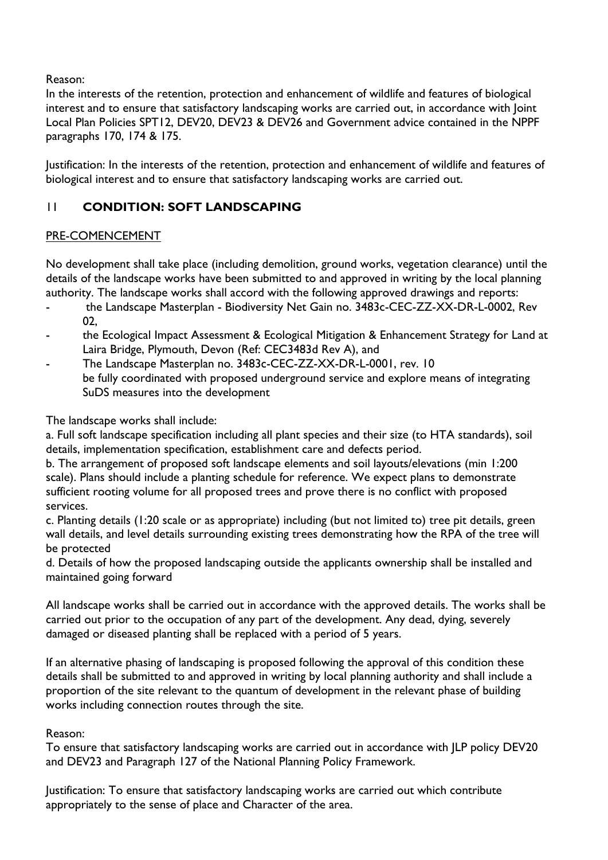Reason:

In the interests of the retention, protection and enhancement of wildlife and features of biological interest and to ensure that satisfactory landscaping works are carried out, in accordance with Joint Local Plan Policies SPT12, DEV20, DEV23 & DEV26 and Government advice contained in the NPPF paragraphs 170, 174 & 175.

Justification: In the interests of the retention, protection and enhancement of wildlife and features of biological interest and to ensure that satisfactory landscaping works are carried out.

# 11 **CONDITION: SOFT LANDSCAPING**

# PRE-COMENCEMENT

No development shall take place (including demolition, ground works, vegetation clearance) until the details of the landscape works have been submitted to and approved in writing by the local planning authority. The landscape works shall accord with the following approved drawings and reports:

- the Landscape Masterplan Biodiversity Net Gain no. 3483c-CEC-ZZ-XX-DR-L-0002, Rev 02,
- the Ecological Impact Assessment & Ecological Mitigation & Enhancement Strategy for Land at Laira Bridge, Plymouth, Devon (Ref: CEC3483d Rev A), and
- The Landscape Masterplan no. 3483c-CEC-ZZ-XX-DR-L-0001, rev. 10 be fully coordinated with proposed underground service and explore means of integrating SuDS measures into the development

The landscape works shall include:

a. Full soft landscape specification including all plant species and their size (to HTA standards), soil details, implementation specification, establishment care and defects period.

b. The arrangement of proposed soft landscape elements and soil layouts/elevations (min 1:200 scale). Plans should include a planting schedule for reference. We expect plans to demonstrate sufficient rooting volume for all proposed trees and prove there is no conflict with proposed services.

c. Planting details (1:20 scale or as appropriate) including (but not limited to) tree pit details, green wall details, and level details surrounding existing trees demonstrating how the RPA of the tree will be protected

d. Details of how the proposed landscaping outside the applicants ownership shall be installed and maintained going forward

All landscape works shall be carried out in accordance with the approved details. The works shall be carried out prior to the occupation of any part of the development. Any dead, dying, severely damaged or diseased planting shall be replaced with a period of 5 years.

If an alternative phasing of landscaping is proposed following the approval of this condition these details shall be submitted to and approved in writing by local planning authority and shall include a proportion of the site relevant to the quantum of development in the relevant phase of building works including connection routes through the site.

# Reason:

To ensure that satisfactory landscaping works are carried out in accordance with JLP policy DEV20 and DEV23 and Paragraph 127 of the National Planning Policy Framework.

Justification: To ensure that satisfactory landscaping works are carried out which contribute appropriately to the sense of place and Character of the area.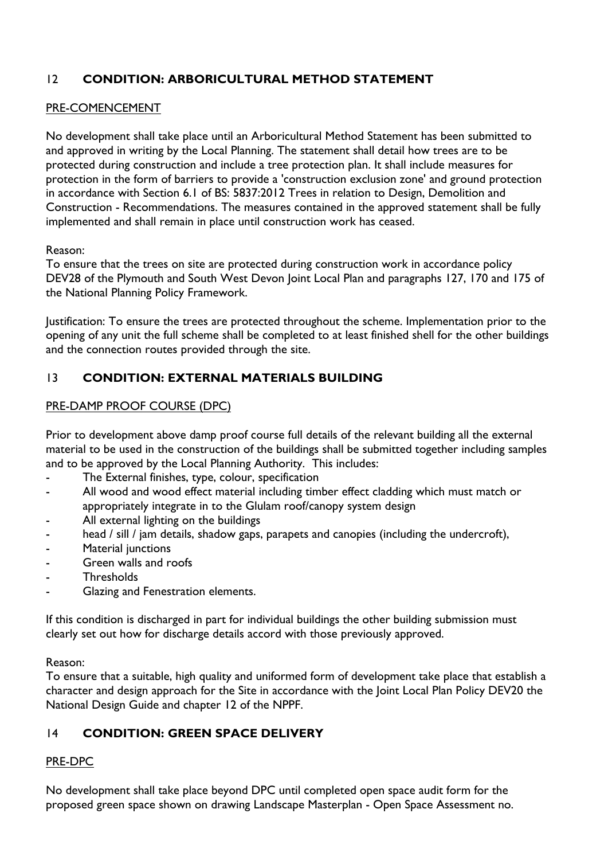# 12 **CONDITION: ARBORICULTURAL METHOD STATEMENT**

### PRE-COMENCEMENT

No development shall take place until an Arboricultural Method Statement has been submitted to and approved in writing by the Local Planning. The statement shall detail how trees are to be protected during construction and include a tree protection plan. It shall include measures for protection in the form of barriers to provide a 'construction exclusion zone' and ground protection in accordance with Section 6.1 of BS: 5837:2012 Trees in relation to Design, Demolition and Construction - Recommendations. The measures contained in the approved statement shall be fully implemented and shall remain in place until construction work has ceased.

#### Reason:

To ensure that the trees on site are protected during construction work in accordance policy DEV28 of the Plymouth and South West Devon Joint Local Plan and paragraphs 127, 170 and 175 of the National Planning Policy Framework.

Justification: To ensure the trees are protected throughout the scheme. Implementation prior to the opening of any unit the full scheme shall be completed to at least finished shell for the other buildings and the connection routes provided through the site.

### 13 **CONDITION: EXTERNAL MATERIALS BUILDING**

### PRE-DAMP PROOF COURSE (DPC)

Prior to development above damp proof course full details of the relevant building all the external material to be used in the construction of the buildings shall be submitted together including samples and to be approved by the Local Planning Authority. This includes:

- The External finishes, type, colour, specification
- All wood and wood effect material including timber effect cladding which must match or appropriately integrate in to the Glulam roof/canopy system design
- All external lighting on the buildings
- head / sill / jam details, shadow gaps, parapets and canopies (including the undercroft),
- Material junctions
- Green walls and roofs
- **Thresholds**
- Glazing and Fenestration elements.

If this condition is discharged in part for individual buildings the other building submission must clearly set out how for discharge details accord with those previously approved.

#### Reason:

To ensure that a suitable, high quality and uniformed form of development take place that establish a character and design approach for the Site in accordance with the Joint Local Plan Policy DEV20 the National Design Guide and chapter 12 of the NPPF.

# 14 **CONDITION: GREEN SPACE DELIVERY**

### PRE-DPC

No development shall take place beyond DPC until completed open space audit form for the proposed green space shown on drawing Landscape Masterplan - Open Space Assessment no.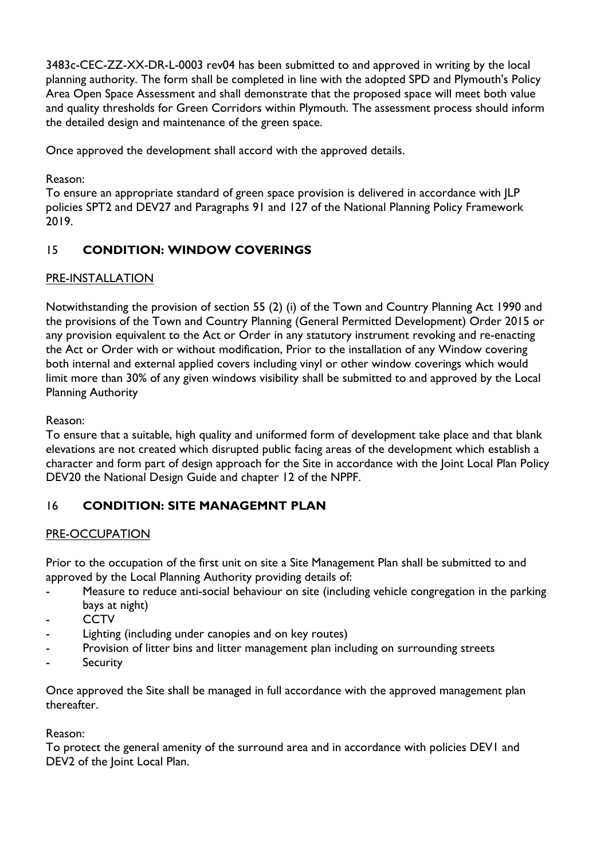3483c-CEC-ZZ-XX-DR-L-0003 rev04 has been submitted to and approved in writing by the local planning authority. The form shall be completed in line with the adopted SPD and Plymouth's Policy Area Open Space Assessment and shall demonstrate that the proposed space will meet both value and quality thresholds for Green Corridors within Plymouth. The assessment process should inform the detailed design and maintenance of the green space.

Once approved the development shall accord with the approved details.

Reason:

To ensure an appropriate standard of green space provision is delivered in accordance with JLP policies SPT2 and DEV27 and Paragraphs 91 and 127 of the National Planning Policy Framework 2019.

# 15 **CONDITION: WINDOW COVERINGS**

# PRE-INSTALLATION

Notwithstanding the provision of section 55 (2) (i) of the Town and Country Planning Act 1990 and the provisions of the Town and Country Planning (General Permitted Development) Order 2015 or any provision equivalent to the Act or Order in any statutory instrument revoking and re-enacting the Act or Order with or without modification, Prior to the installation of any Window covering both internal and external applied covers including vinyl or other window coverings which would limit more than 30% of any given windows visibility shall be submitted to and approved by the Local Planning Authority

# Reason:

To ensure that a suitable, high quality and uniformed form of development take place and that blank elevations are not created which disrupted public facing areas of the development which establish a character and form part of design approach for the Site in accordance with the Joint Local Plan Policy DEV20 the National Design Guide and chapter 12 of the NPPF.

# 16 **CONDITION: SITE MANAGEMNT PLAN**

# PRE-OCCUPATION

Prior to the occupation of the first unit on site a Site Management Plan shall be submitted to and approved by the Local Planning Authority providing details of:

- Measure to reduce anti-social behaviour on site (including vehicle congregation in the parking bays at night)
- **CCTV**
- Lighting (including under canopies and on key routes)
- Provision of litter bins and litter management plan including on surrounding streets
- **Security**

Once approved the Site shall be managed in full accordance with the approved management plan thereafter.

Reason:

To protect the general amenity of the surround area and in accordance with policies DEV1 and DEV2 of the Joint Local Plan.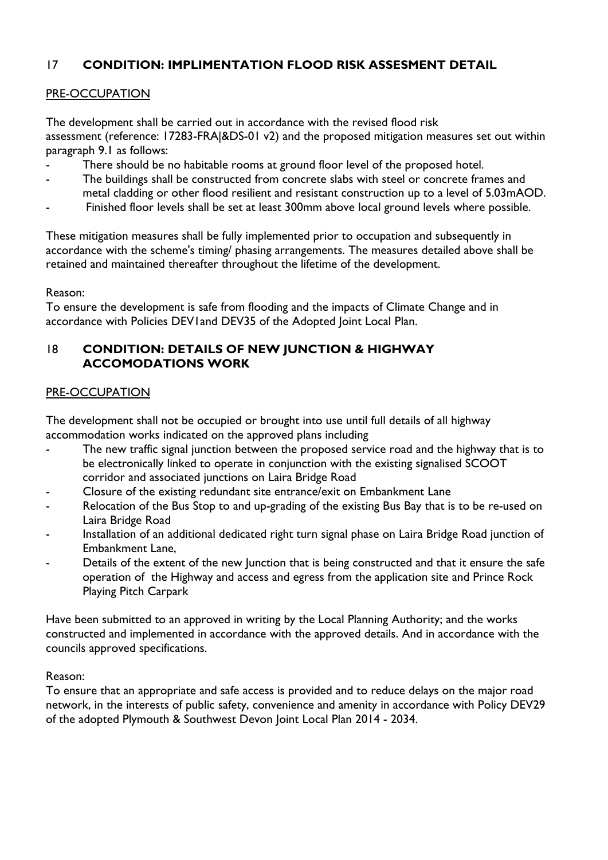# 17 **CONDITION: IMPLIMENTATION FLOOD RISK ASSESMENT DETAIL**

### PRE-OCCUPATION

The development shall be carried out in accordance with the revised flood risk assessment (reference: 17283-FRA|&DS-01 v2) and the proposed mitigation measures set out within paragraph 9.1 as follows:

- There should be no habitable rooms at ground floor level of the proposed hotel.
- The buildings shall be constructed from concrete slabs with steel or concrete frames and metal cladding or other flood resilient and resistant construction up to a level of 5.03mAOD.
- Finished floor levels shall be set at least 300mm above local ground levels where possible.

These mitigation measures shall be fully implemented prior to occupation and subsequently in accordance with the scheme's timing/ phasing arrangements. The measures detailed above shall be retained and maintained thereafter throughout the lifetime of the development.

Reason:

To ensure the development is safe from flooding and the impacts of Climate Change and in accordance with Policies DEV1and DEV35 of the Adopted Joint Local Plan.

### 18 **CONDITION: DETAILS OF NEW JUNCTION & HIGHWAY ACCOMODATIONS WORK**

### PRE-OCCUPATION

The development shall not be occupied or brought into use until full details of all highway accommodation works indicated on the approved plans including

- The new traffic signal junction between the proposed service road and the highway that is to be electronically linked to operate in conjunction with the existing signalised SCOOT corridor and associated junctions on Laira Bridge Road
- Closure of the existing redundant site entrance/exit on Embankment Lane
- Relocation of the Bus Stop to and up-grading of the existing Bus Bay that is to be re-used on Laira Bridge Road
- Installation of an additional dedicated right turn signal phase on Laira Bridge Road junction of Embankment Lane,
- Details of the extent of the new Junction that is being constructed and that it ensure the safe operation of the Highway and access and egress from the application site and Prince Rock Playing Pitch Carpark

Have been submitted to an approved in writing by the Local Planning Authority; and the works constructed and implemented in accordance with the approved details. And in accordance with the councils approved specifications.

#### Reason:

To ensure that an appropriate and safe access is provided and to reduce delays on the major road network, in the interests of public safety, convenience and amenity in accordance with Policy DEV29 of the adopted Plymouth & Southwest Devon Joint Local Plan 2014 - 2034.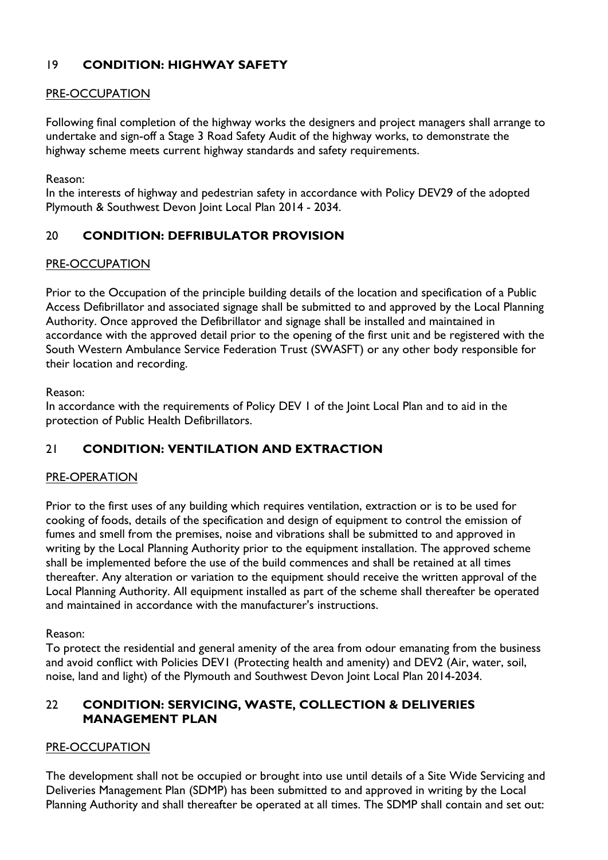# 19 **CONDITION: HIGHWAY SAFETY**

### PRE-OCCUPATION

Following final completion of the highway works the designers and project managers shall arrange to undertake and sign-off a Stage 3 Road Safety Audit of the highway works, to demonstrate the highway scheme meets current highway standards and safety requirements.

Reason:

In the interests of highway and pedestrian safety in accordance with Policy DEV29 of the adopted Plymouth & Southwest Devon Joint Local Plan 2014 - 2034.

# 20 **CONDITION: DEFRIBULATOR PROVISION**

### PRE-OCCUPATION

Prior to the Occupation of the principle building details of the location and specification of a Public Access Defibrillator and associated signage shall be submitted to and approved by the Local Planning Authority. Once approved the Defibrillator and signage shall be installed and maintained in accordance with the approved detail prior to the opening of the first unit and be registered with the South Western Ambulance Service Federation Trust (SWASFT) or any other body responsible for their location and recording.

Reason:

In accordance with the requirements of Policy DEV 1 of the Joint Local Plan and to aid in the protection of Public Health Defibrillators.

# 21 **CONDITION: VENTILATION AND EXTRACTION**

### PRE-OPERATION

Prior to the first uses of any building which requires ventilation, extraction or is to be used for cooking of foods, details of the specification and design of equipment to control the emission of fumes and smell from the premises, noise and vibrations shall be submitted to and approved in writing by the Local Planning Authority prior to the equipment installation. The approved scheme shall be implemented before the use of the build commences and shall be retained at all times thereafter. Any alteration or variation to the equipment should receive the written approval of the Local Planning Authority. All equipment installed as part of the scheme shall thereafter be operated and maintained in accordance with the manufacturer's instructions.

#### Reason:

To protect the residential and general amenity of the area from odour emanating from the business and avoid conflict with Policies DEV1 (Protecting health and amenity) and DEV2 (Air, water, soil, noise, land and light) of the Plymouth and Southwest Devon Joint Local Plan 2014-2034.

# 22 **CONDITION: SERVICING, WASTE, COLLECTION & DELIVERIES MANAGEMENT PLAN**

### PRE-OCCUPATION

The development shall not be occupied or brought into use until details of a Site Wide Servicing and Deliveries Management Plan (SDMP) has been submitted to and approved in writing by the Local Planning Authority and shall thereafter be operated at all times. The SDMP shall contain and set out: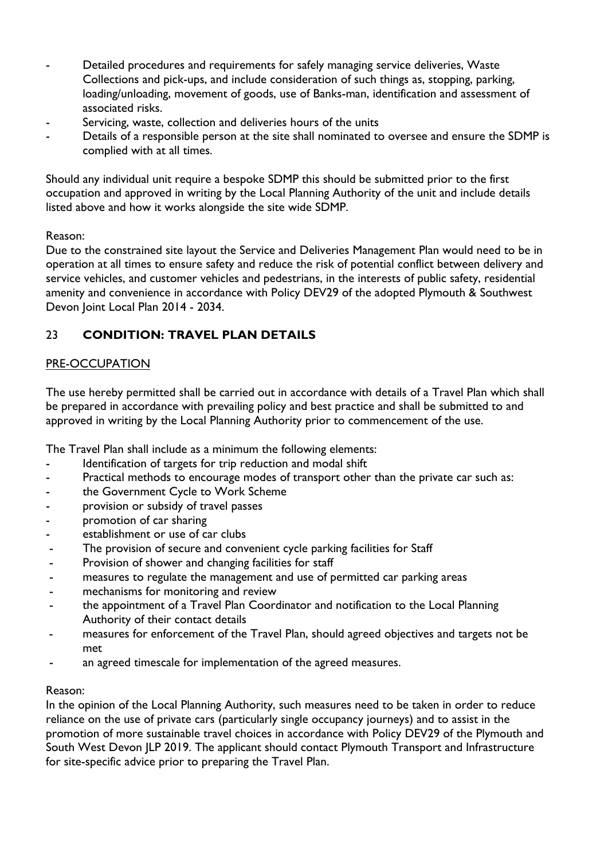- Detailed procedures and requirements for safely managing service deliveries, Waste Collections and pick-ups, and include consideration of such things as, stopping, parking, loading/unloading, movement of goods, use of Banks-man, identification and assessment of associated risks.
- Servicing, waste, collection and deliveries hours of the units
- Details of a responsible person at the site shall nominated to oversee and ensure the SDMP is complied with at all times.

Should any individual unit require a bespoke SDMP this should be submitted prior to the first occupation and approved in writing by the Local Planning Authority of the unit and include details listed above and how it works alongside the site wide SDMP.

### Reason:

Due to the constrained site layout the Service and Deliveries Management Plan would need to be in operation at all times to ensure safety and reduce the risk of potential conflict between delivery and service vehicles, and customer vehicles and pedestrians, in the interests of public safety, residential amenity and convenience in accordance with Policy DEV29 of the adopted Plymouth & Southwest Devon Joint Local Plan 2014 - 2034.

# 23 **CONDITION: TRAVEL PLAN DETAILS**

### PRE-OCCUPATION

The use hereby permitted shall be carried out in accordance with details of a Travel Plan which shall be prepared in accordance with prevailing policy and best practice and shall be submitted to and approved in writing by the Local Planning Authority prior to commencement of the use.

The Travel Plan shall include as a minimum the following elements:

- Identification of targets for trip reduction and modal shift
- Practical methods to encourage modes of transport other than the private car such as:
- the Government Cycle to Work Scheme
- provision or subsidy of travel passes
- promotion of car sharing
- establishment or use of car clubs
- The provision of secure and convenient cycle parking facilities for Staff
- Provision of shower and changing facilities for staff
- measures to regulate the management and use of permitted car parking areas
- mechanisms for monitoring and review
- the appointment of a Travel Plan Coordinator and notification to the Local Planning Authority of their contact details
- measures for enforcement of the Travel Plan, should agreed objectives and targets not be met
- an agreed timescale for implementation of the agreed measures.

### Reason:

In the opinion of the Local Planning Authority, such measures need to be taken in order to reduce reliance on the use of private cars (particularly single occupancy journeys) and to assist in the promotion of more sustainable travel choices in accordance with Policy DEV29 of the Plymouth and South West Devon JLP 2019. The applicant should contact Plymouth Transport and Infrastructure for site-specific advice prior to preparing the Travel Plan.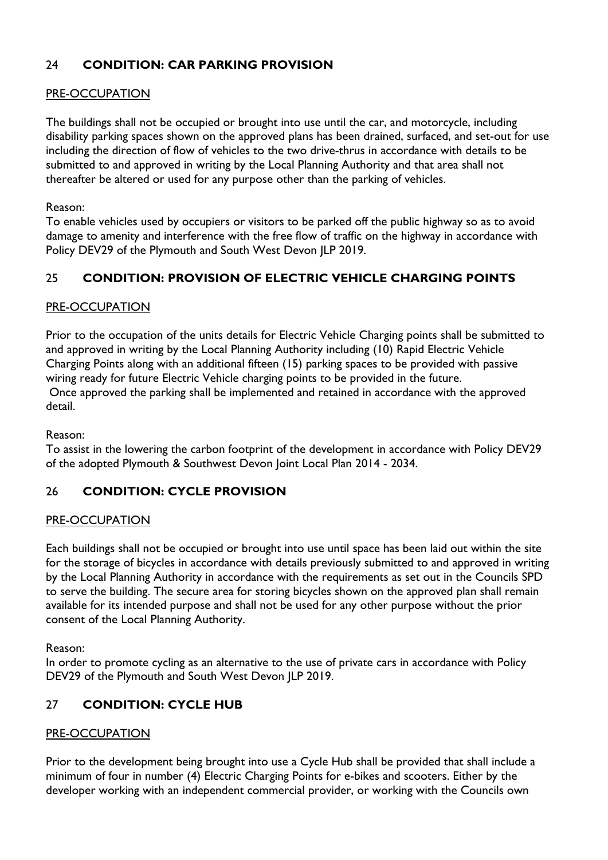# 24 **CONDITION: CAR PARKING PROVISION**

### PRE-OCCUPATION

The buildings shall not be occupied or brought into use until the car, and motorcycle, including disability parking spaces shown on the approved plans has been drained, surfaced, and set-out for use including the direction of flow of vehicles to the two drive-thrus in accordance with details to be submitted to and approved in writing by the Local Planning Authority and that area shall not thereafter be altered or used for any purpose other than the parking of vehicles.

Reason:

To enable vehicles used by occupiers or visitors to be parked off the public highway so as to avoid damage to amenity and interference with the free flow of traffic on the highway in accordance with Policy DEV29 of the Plymouth and South West Devon JLP 2019.

# 25 **CONDITION: PROVISION OF ELECTRIC VEHICLE CHARGING POINTS**

### PRE-OCCUPATION

Prior to the occupation of the units details for Electric Vehicle Charging points shall be submitted to and approved in writing by the Local Planning Authority including (10) Rapid Electric Vehicle Charging Points along with an additional fifteen (15) parking spaces to be provided with passive wiring ready for future Electric Vehicle charging points to be provided in the future. Once approved the parking shall be implemented and retained in accordance with the approved detail.

Reason:

To assist in the lowering the carbon footprint of the development in accordance with Policy DEV29 of the adopted Plymouth & Southwest Devon Joint Local Plan 2014 - 2034.

# 26 **CONDITION: CYCLE PROVISION**

#### PRE-OCCUPATION

Each buildings shall not be occupied or brought into use until space has been laid out within the site for the storage of bicycles in accordance with details previously submitted to and approved in writing by the Local Planning Authority in accordance with the requirements as set out in the Councils SPD to serve the building. The secure area for storing bicycles shown on the approved plan shall remain available for its intended purpose and shall not be used for any other purpose without the prior consent of the Local Planning Authority.

Reason:

In order to promote cycling as an alternative to the use of private cars in accordance with Policy DEV29 of the Plymouth and South West Devon JLP 2019.

# 27 **CONDITION: CYCLE HUB**

#### PRE-OCCUPATION

Prior to the development being brought into use a Cycle Hub shall be provided that shall include a minimum of four in number (4) Electric Charging Points for e-bikes and scooters. Either by the developer working with an independent commercial provider, or working with the Councils own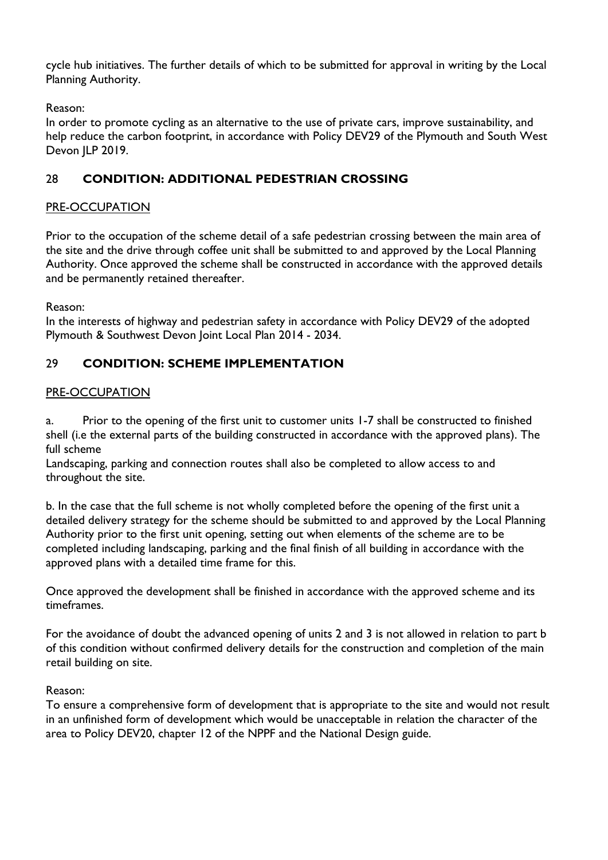cycle hub initiatives. The further details of which to be submitted for approval in writing by the Local Planning Authority.

Reason:

In order to promote cycling as an alternative to the use of private cars, improve sustainability, and help reduce the carbon footprint, in accordance with Policy DEV29 of the Plymouth and South West Devon JLP 2019.

# 28 **CONDITION: ADDITIONAL PEDESTRIAN CROSSING**

# PRE-OCCUPATION

Prior to the occupation of the scheme detail of a safe pedestrian crossing between the main area of the site and the drive through coffee unit shall be submitted to and approved by the Local Planning Authority. Once approved the scheme shall be constructed in accordance with the approved details and be permanently retained thereafter.

Reason:

In the interests of highway and pedestrian safety in accordance with Policy DEV29 of the adopted Plymouth & Southwest Devon Joint Local Plan 2014 - 2034.

# 29 **CONDITION: SCHEME IMPLEMENTATION**

# PRE-OCCUPATION

a. Prior to the opening of the first unit to customer units 1-7 shall be constructed to finished shell (i.e the external parts of the building constructed in accordance with the approved plans). The full scheme

Landscaping, parking and connection routes shall also be completed to allow access to and throughout the site.

b. In the case that the full scheme is not wholly completed before the opening of the first unit a detailed delivery strategy for the scheme should be submitted to and approved by the Local Planning Authority prior to the first unit opening, setting out when elements of the scheme are to be completed including landscaping, parking and the final finish of all building in accordance with the approved plans with a detailed time frame for this.

Once approved the development shall be finished in accordance with the approved scheme and its timeframes.

For the avoidance of doubt the advanced opening of units 2 and 3 is not allowed in relation to part b of this condition without confirmed delivery details for the construction and completion of the main retail building on site.

Reason:

To ensure a comprehensive form of development that is appropriate to the site and would not result in an unfinished form of development which would be unacceptable in relation the character of the area to Policy DEV20, chapter 12 of the NPPF and the National Design guide.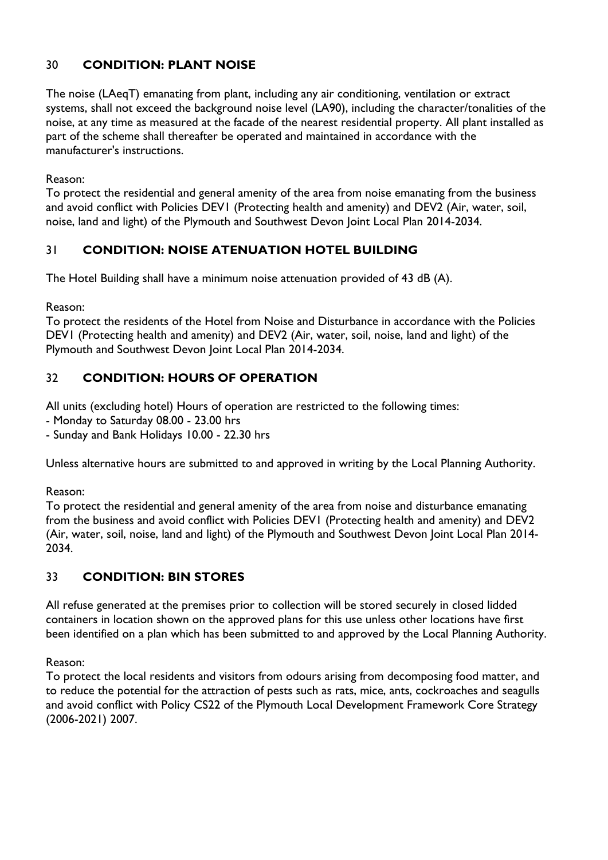# 30 **CONDITION: PLANT NOISE**

The noise (LAeqT) emanating from plant, including any air conditioning, ventilation or extract systems, shall not exceed the background noise level (LA90), including the character/tonalities of the noise, at any time as measured at the facade of the nearest residential property. All plant installed as part of the scheme shall thereafter be operated and maintained in accordance with the manufacturer's instructions.

Reason:

To protect the residential and general amenity of the area from noise emanating from the business and avoid conflict with Policies DEV1 (Protecting health and amenity) and DEV2 (Air, water, soil, noise, land and light) of the Plymouth and Southwest Devon Joint Local Plan 2014-2034.

# 31 **CONDITION: NOISE ATENUATION HOTEL BUILDING**

The Hotel Building shall have a minimum noise attenuation provided of 43 dB (A).

Reason:

To protect the residents of the Hotel from Noise and Disturbance in accordance with the Policies DEV1 (Protecting health and amenity) and DEV2 (Air, water, soil, noise, land and light) of the Plymouth and Southwest Devon Joint Local Plan 2014-2034.

# 32 **CONDITION: HOURS OF OPERATION**

All units (excluding hotel) Hours of operation are restricted to the following times:

- Monday to Saturday 08.00 - 23.00 hrs

- Sunday and Bank Holidays 10.00 - 22.30 hrs

Unless alternative hours are submitted to and approved in writing by the Local Planning Authority.

Reason:

To protect the residential and general amenity of the area from noise and disturbance emanating from the business and avoid conflict with Policies DEV1 (Protecting health and amenity) and DEV2 (Air, water, soil, noise, land and light) of the Plymouth and Southwest Devon Joint Local Plan 2014- 2034.

# 33 **CONDITION: BIN STORES**

All refuse generated at the premises prior to collection will be stored securely in closed lidded containers in location shown on the approved plans for this use unless other locations have first been identified on a plan which has been submitted to and approved by the Local Planning Authority.

Reason:

To protect the local residents and visitors from odours arising from decomposing food matter, and to reduce the potential for the attraction of pests such as rats, mice, ants, cockroaches and seagulls and avoid conflict with Policy CS22 of the Plymouth Local Development Framework Core Strategy (2006-2021) 2007.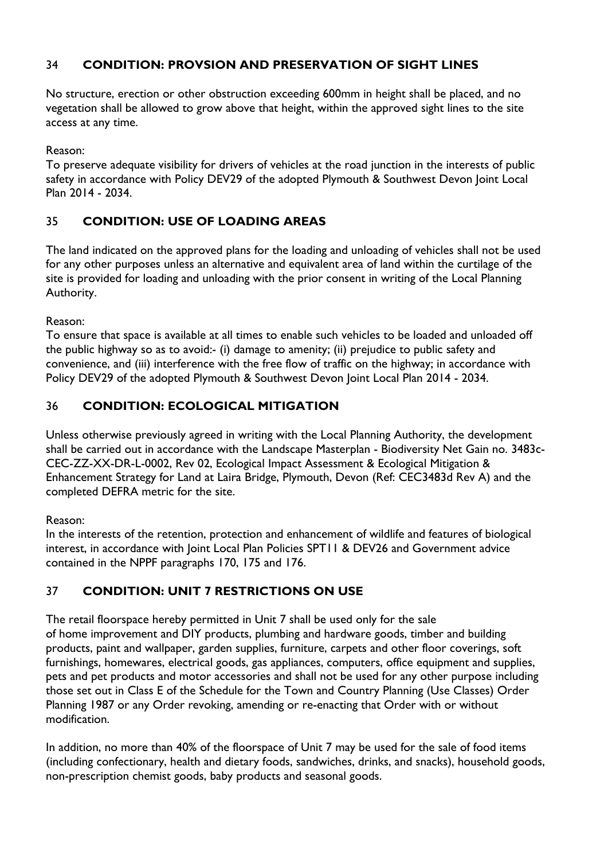# 34 **CONDITION: PROVSION AND PRESERVATION OF SIGHT LINES**

No structure, erection or other obstruction exceeding 600mm in height shall be placed, and no vegetation shall be allowed to grow above that height, within the approved sight lines to the site access at any time.

Reason:

To preserve adequate visibility for drivers of vehicles at the road junction in the interests of public safety in accordance with Policy DEV29 of the adopted Plymouth & Southwest Devon Joint Local Plan 2014 - 2034.

# 35 **CONDITION: USE OF LOADING AREAS**

The land indicated on the approved plans for the loading and unloading of vehicles shall not be used for any other purposes unless an alternative and equivalent area of land within the curtilage of the site is provided for loading and unloading with the prior consent in writing of the Local Planning Authority.

Reason:

To ensure that space is available at all times to enable such vehicles to be loaded and unloaded off the public highway so as to avoid:- (i) damage to amenity; (ii) prejudice to public safety and convenience, and (iii) interference with the free flow of traffic on the highway; in accordance with Policy DEV29 of the adopted Plymouth & Southwest Devon Joint Local Plan 2014 - 2034.

# 36 **CONDITION: ECOLOGICAL MITIGATION**

Unless otherwise previously agreed in writing with the Local Planning Authority, the development shall be carried out in accordance with the Landscape Masterplan - Biodiversity Net Gain no. 3483c-CEC-ZZ-XX-DR-L-0002, Rev 02, Ecological Impact Assessment & Ecological Mitigation & Enhancement Strategy for Land at Laira Bridge, Plymouth, Devon (Ref: CEC3483d Rev A) and the completed DEFRA metric for the site.

### Reason:

In the interests of the retention, protection and enhancement of wildlife and features of biological interest, in accordance with Joint Local Plan Policies SPT11 & DEV26 and Government advice contained in the NPPF paragraphs 170, 175 and 176.

# 37 **CONDITION: UNIT 7 RESTRICTIONS ON USE**

The retail floorspace hereby permitted in Unit 7 shall be used only for the sale of home improvement and DIY products, plumbing and hardware goods, timber and building products, paint and wallpaper, garden supplies, furniture, carpets and other floor coverings, soft furnishings, homewares, electrical goods, gas appliances, computers, office equipment and supplies, pets and pet products and motor accessories and shall not be used for any other purpose including those set out in Class E of the Schedule for the Town and Country Planning (Use Classes) Order Planning 1987 or any Order revoking, amending or re-enacting that Order with or without modification.

In addition, no more than 40% of the floorspace of Unit 7 may be used for the sale of food items (including confectionary, health and dietary foods, sandwiches, drinks, and snacks), household goods, non-prescription chemist goods, baby products and seasonal goods.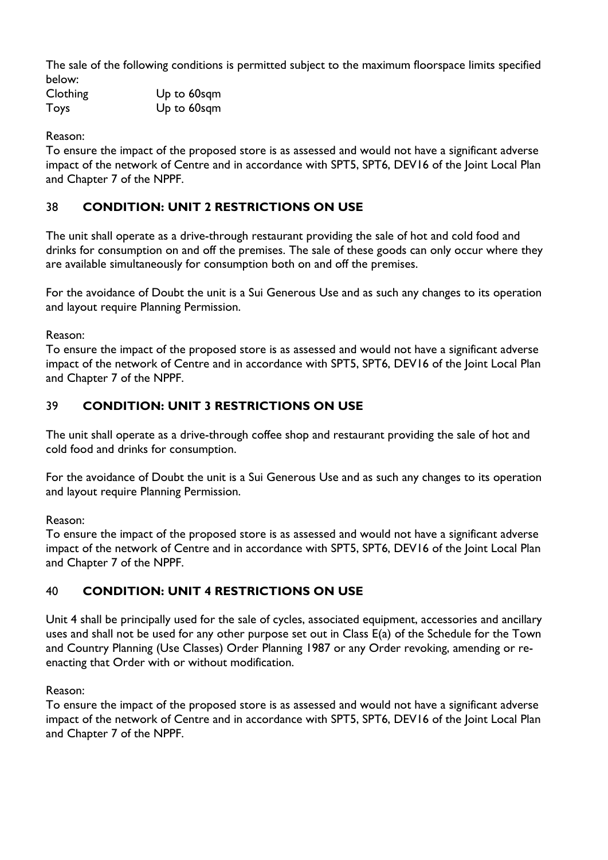The sale of the following conditions is permitted subject to the maximum floorspace limits specified below:

| Clothing | Up to 60sqm |
|----------|-------------|
| Toys     | Up to 60sqm |

Reason:

To ensure the impact of the proposed store is as assessed and would not have a significant adverse impact of the network of Centre and in accordance with SPT5, SPT6, DEV16 of the Joint Local Plan and Chapter 7 of the NPPF.

# 38 **CONDITION: UNIT 2 RESTRICTIONS ON USE**

The unit shall operate as a drive-through restaurant providing the sale of hot and cold food and drinks for consumption on and off the premises. The sale of these goods can only occur where they are available simultaneously for consumption both on and off the premises.

For the avoidance of Doubt the unit is a Sui Generous Use and as such any changes to its operation and layout require Planning Permission.

Reason:

To ensure the impact of the proposed store is as assessed and would not have a significant adverse impact of the network of Centre and in accordance with SPT5, SPT6, DEV16 of the Joint Local Plan and Chapter 7 of the NPPF.

# 39 **CONDITION: UNIT 3 RESTRICTIONS ON USE**

The unit shall operate as a drive-through coffee shop and restaurant providing the sale of hot and cold food and drinks for consumption.

For the avoidance of Doubt the unit is a Sui Generous Use and as such any changes to its operation and layout require Planning Permission.

Reason:

To ensure the impact of the proposed store is as assessed and would not have a significant adverse impact of the network of Centre and in accordance with SPT5, SPT6, DEV16 of the Joint Local Plan and Chapter 7 of the NPPF.

# 40 **CONDITION: UNIT 4 RESTRICTIONS ON USE**

Unit 4 shall be principally used for the sale of cycles, associated equipment, accessories and ancillary uses and shall not be used for any other purpose set out in Class E(a) of the Schedule for the Town and Country Planning (Use Classes) Order Planning 1987 or any Order revoking, amending or reenacting that Order with or without modification.

Reason:

To ensure the impact of the proposed store is as assessed and would not have a significant adverse impact of the network of Centre and in accordance with SPT5, SPT6, DEV16 of the Joint Local Plan and Chapter 7 of the NPPF.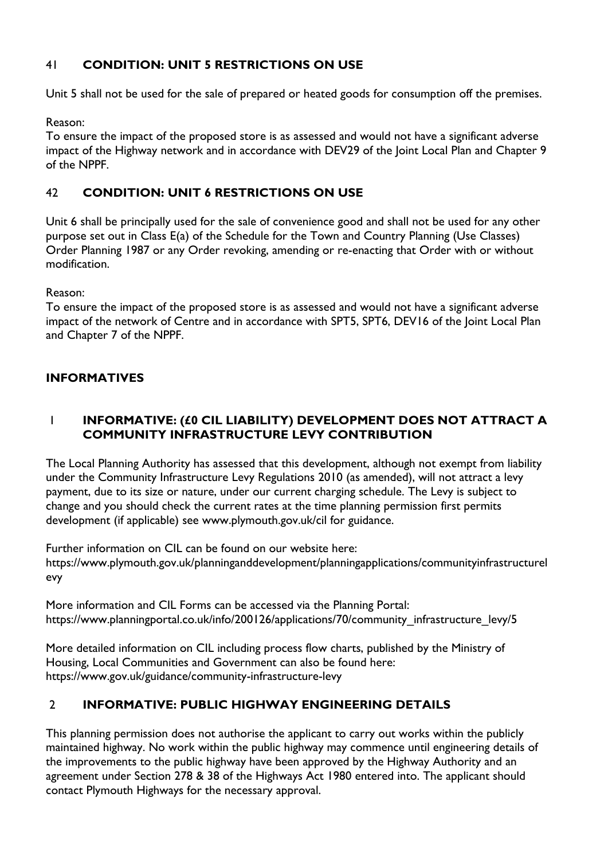# 41 **CONDITION: UNIT 5 RESTRICTIONS ON USE**

Unit 5 shall not be used for the sale of prepared or heated goods for consumption off the premises.

### Reason:

To ensure the impact of the proposed store is as assessed and would not have a significant adverse impact of the Highway network and in accordance with DEV29 of the Joint Local Plan and Chapter 9 of the NPPF.

# 42 **CONDITION: UNIT 6 RESTRICTIONS ON USE**

Unit 6 shall be principally used for the sale of convenience good and shall not be used for any other purpose set out in Class E(a) of the Schedule for the Town and Country Planning (Use Classes) Order Planning 1987 or any Order revoking, amending or re-enacting that Order with or without modification.

### Reason:

To ensure the impact of the proposed store is as assessed and would not have a significant adverse impact of the network of Centre and in accordance with SPT5, SPT6, DEV16 of the Joint Local Plan and Chapter 7 of the NPPF.

# **INFORMATIVES**

# 1 **INFORMATIVE: (£0 CIL LIABILITY) DEVELOPMENT DOES NOT ATTRACT A COMMUNITY INFRASTRUCTURE LEVY CONTRIBUTION**

The Local Planning Authority has assessed that this development, although not exempt from liability under the Community Infrastructure Levy Regulations 2010 (as amended), will not attract a levy payment, due to its size or nature, under our current charging schedule. The Levy is subject to change and you should check the current rates at the time planning permission first permits development (if applicable) see www.plymouth.gov.uk/cil for guidance.

Further information on CIL can be found on our website here: https://www.plymouth.gov.uk/planninganddevelopment/planningapplications/communityinfrastructurel evy

More information and CIL Forms can be accessed via the Planning Portal: https://www.planningportal.co.uk/info/200126/applications/70/community\_infrastructure\_levy/5

More detailed information on CIL including process flow charts, published by the Ministry of Housing, Local Communities and Government can also be found here: https://www.gov.uk/guidance/community-infrastructure-levy

# 2 **INFORMATIVE: PUBLIC HIGHWAY ENGINEERING DETAILS**

This planning permission does not authorise the applicant to carry out works within the publicly maintained highway. No work within the public highway may commence until engineering details of the improvements to the public highway have been approved by the Highway Authority and an agreement under Section 278 & 38 of the Highways Act 1980 entered into. The applicant should contact Plymouth Highways for the necessary approval.